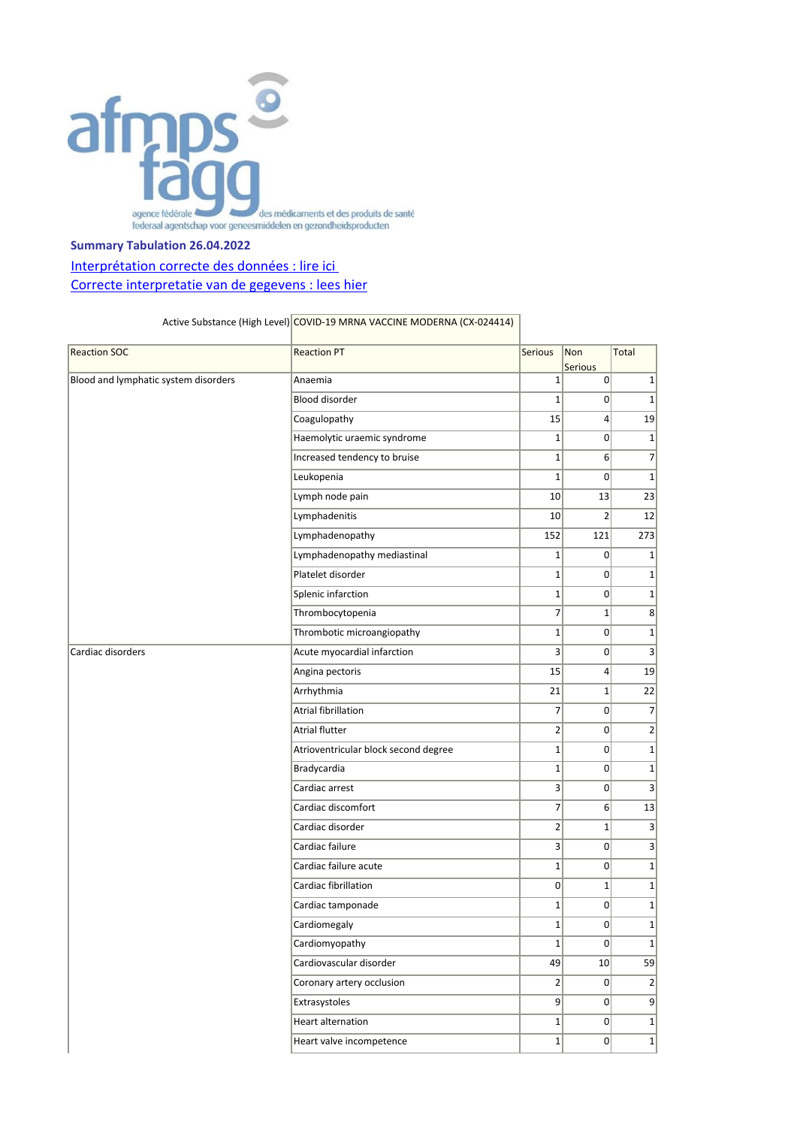

## **Summary Tabulation 26.04.2022**

## Interprétation correcte des données : lire ici [Correcte interpretatie van de gegevens : lees hier](https://www.fagg.be/nl/menselijk_gebruik/geneesmiddelen/geneesmiddelen/covid_19/vaccins/geneesmiddelenbewaking_voor_covid#correcte%20interpretatie)

## Active Substance (High Level) COVID-19 MRNA VACCINE MODERNA (CX-024414)

| <b>Reaction SOC</b>                  | <b>Reaction PT</b>                   | <b>Serious</b> | Non<br><b>Serious</b> | Total           |
|--------------------------------------|--------------------------------------|----------------|-----------------------|-----------------|
| Blood and lymphatic system disorders | Anaemia                              | 1              | $\overline{0}$        | $1\vert$        |
|                                      | Blood disorder                       | $\mathbf{1}$   | $\overline{0}$        | $\mathbf{1}$    |
|                                      | Coagulopathy                         | 15             | $\left 4\right $      | 19              |
|                                      | Haemolytic uraemic syndrome          | 1              | $\overline{0}$        | $\mathbf{1}$    |
|                                      | Increased tendency to bruise         | $\mathbf 1$    | 6 <sup>1</sup>        | $\overline{7}$  |
|                                      | Leukopenia                           | $\mathbf 1$    | $\overline{0}$        | $\mathbf{1}$    |
|                                      | Lymph node pain                      | 10             | 13                    | 23              |
|                                      | Lymphadenitis                        | 10             | $\overline{2}$        | 12              |
|                                      | Lymphadenopathy                      | 152            | 121                   | 273             |
|                                      | Lymphadenopathy mediastinal          | 1              | $\overline{0}$        | $\mathbf{1}$    |
|                                      | Platelet disorder                    | $\mathbf 1$    | $\overline{0}$        | $\mathbf{1}$    |
|                                      | Splenic infarction                   | $1\vert$       | $\overline{0}$        | $\mathbf{1}$    |
|                                      | Thrombocytopenia                     | 7              | $1\vert$              | 8 <sup>2</sup>  |
|                                      | Thrombotic microangiopathy           | $\mathbf{1}$   | $\Omega$              | $\mathbf{1}$    |
| Cardiac disorders                    | Acute myocardial infarction          | $\overline{3}$ | $\Omega$              | 3               |
|                                      | Angina pectoris                      | 15             | $\vert$               | 19              |
|                                      | Arrhythmia                           | 21             | $1\vert$              | 22              |
|                                      | Atrial fibrillation                  | 7              | $\overline{0}$        | $\overline{7}$  |
|                                      | <b>Atrial flutter</b>                | $\overline{2}$ | $\overline{0}$        | $\overline{2}$  |
|                                      | Atrioventricular block second degree | $1\vert$       | $\overline{0}$        | $\mathbf{1}$    |
|                                      | Bradycardia                          | $\mathbf{1}$   | $\overline{0}$        | $\mathbf{1}$    |
|                                      | Cardiac arrest                       | $\vert$ 3      | $\overline{0}$        | 3               |
|                                      | Cardiac discomfort                   | 7              | $6 \mid$              | 13              |
|                                      | Cardiac disorder                     | $\overline{2}$ | $\mathbf{1}$          | 3               |
|                                      | Cardiac failure                      | $\overline{3}$ | 0                     | 3               |
|                                      | Cardiac failure acute                | $1\vert$       | $\overline{0}$        | $\mathbf{1}$    |
|                                      | Cardiac fibrillation                 | $\overline{0}$ | $1\vert$              | $\mathbf{1}$    |
|                                      | Cardiac tamponade                    | $\mathbf{1}$   | $\overline{0}$        | $\mathbf{1}$    |
|                                      | Cardiomegaly                         | $1\vert$       | $\overline{0}$        | $\mathbf{1}$    |
|                                      | Cardiomyopathy                       | $1\vert$       | 0                     | $1\vert$        |
|                                      | Cardiovascular disorder              | 49             | 10                    | 59              |
|                                      | Coronary artery occlusion            | $\overline{2}$ | 0                     | $\vert$ 2       |
|                                      | Extrasystoles                        | 9              | $\overline{0}$        | $\vert 9 \vert$ |
|                                      | <b>Heart alternation</b>             | $1\vert$       | $\overline{0}$        | $1\vert$        |
|                                      | Heart valve incompetence             | $1\vert$       | 0                     | $1\vert$        |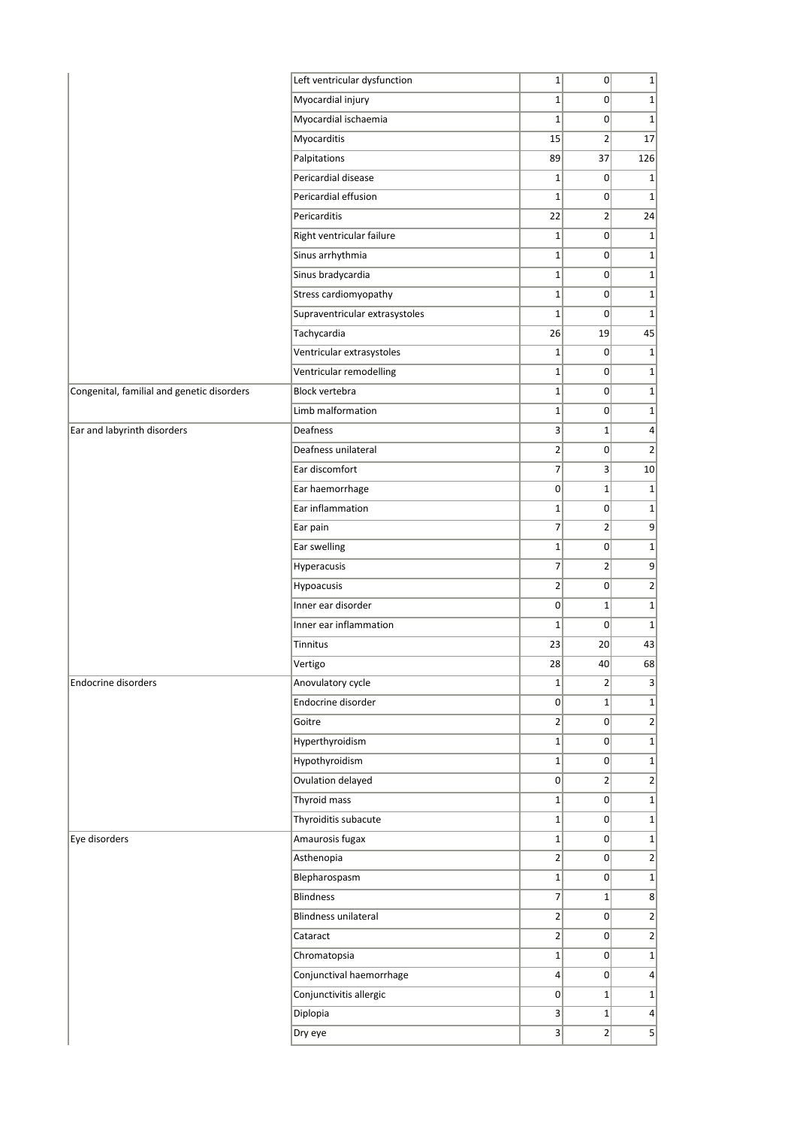|                                            | Left ventricular dysfunction   | $1\vert$        | 0               | $\mathbf 1$             |
|--------------------------------------------|--------------------------------|-----------------|-----------------|-------------------------|
|                                            | Myocardial injury              | $1\overline{ }$ | 0               | $\mathbf{1}$            |
|                                            | Myocardial ischaemia           | $\mathbf{1}$    | 0               | $\mathbf 1$             |
|                                            | Myocarditis                    | 15              | $\overline{2}$  | 17                      |
|                                            | Palpitations                   | 89              | 37              | 126                     |
|                                            | Pericardial disease            | $\mathbf{1}$    | 0               | 1                       |
|                                            | Pericardial effusion           | $1\vert$        | 0               | $\mathbf 1$             |
|                                            | Pericarditis                   | 22              | $\overline{2}$  | 24                      |
|                                            | Right ventricular failure      | $\mathbf{1}$    | 0               | $\mathbf{1}$            |
|                                            | Sinus arrhythmia               | $1\overline{ }$ | 0               | $\mathbf 1$             |
|                                            | Sinus bradycardia              | $\mathbf{1}$    | 0               | $\mathbf{1}$            |
|                                            | Stress cardiomyopathy          | $1\overline{ }$ | 0               | $\mathbf{1}$            |
|                                            |                                | $1\vert$        |                 | $\mathbf 1$             |
|                                            | Supraventricular extrasystoles |                 | 0               |                         |
|                                            | Tachycardia                    | 26              | 19              | 45                      |
|                                            | Ventricular extrasystoles      | $1\overline{ }$ | 0               | $\mathbf 1$             |
|                                            | Ventricular remodelling        | $\mathbf{1}$    | 0               | $\mathbf 1$             |
| Congenital, familial and genetic disorders | <b>Block vertebra</b>          | $1\overline{ }$ | 0               | $\mathbf 1$             |
|                                            | Limb malformation              | $1\overline{ }$ | 0               | $\mathbf{1}$            |
| Ear and labyrinth disorders                | Deafness                       | $\overline{3}$  | $1\vert$        | $\overline{\mathbf{r}}$ |
|                                            | Deafness unilateral            | $\overline{2}$  | 0               | $\overline{2}$          |
|                                            | Ear discomfort                 | $\overline{7}$  | $\vert$         | 10                      |
|                                            | Ear haemorrhage                | $\overline{0}$  | $1\vert$        | $\mathbf 1$             |
|                                            | Ear inflammation               | $\mathbf{1}$    | 0               | $\mathbf{1}$            |
|                                            | Ear pain                       | $\overline{7}$  | $\overline{2}$  | 9                       |
|                                            | Ear swelling                   | $1\overline{ }$ | 0               | $\mathbf{1}$            |
|                                            | Hyperacusis                    | $\overline{7}$  | $\overline{2}$  | 9                       |
|                                            | Hypoacusis                     | $\overline{2}$  | 0               | $\overline{2}$          |
|                                            | Inner ear disorder             | $\overline{0}$  | $1\vert$        | $\mathbf 1$             |
|                                            | Inner ear inflammation         | $\mathbf{1}$    | 0               | $\mathbf 1$             |
|                                            | Tinnitus                       | 23              | 20 <sup>2</sup> | 43                      |
|                                            | Vertigo                        | 28              | 40              | 68                      |
| <b>Endocrine disorders</b>                 | Anovulatory cycle              | $1\vert$        | $\overline{2}$  | 3                       |
|                                            | Endocrine disorder             | $\overline{0}$  | $1\vert$        | $\mathbf{1}$            |
|                                            | Goitre                         | $\overline{2}$  | 0               | $\overline{2}$          |
|                                            | Hyperthyroidism                | $1\overline{ }$ | 0               | $\mathbf{1}$            |
|                                            | Hypothyroidism                 | $1\vert$        | 0               | $\mathbf{1}$            |
|                                            | Ovulation delayed              | 0               | $\overline{2}$  | $\overline{2}$          |
|                                            | Thyroid mass                   | $1\vert$        | 0               | $\mathbf 1$             |
|                                            | Thyroiditis subacute           | $1\vert$        | $\overline{0}$  | $\mathbf{1}$            |
| Eye disorders                              | Amaurosis fugax                | $1\vert$        | 0               | $\mathbf{1}$            |
|                                            | Asthenopia                     | $\overline{2}$  | $\overline{0}$  | $\overline{2}$          |
|                                            | Blepharospasm                  | $1\overline{ }$ | 0               | $\mathbf{1}$            |
|                                            | <b>Blindness</b>               | $\overline{7}$  | $1\vert$        | 8 <sup>2</sup>          |
|                                            | Blindness unilateral           | $\overline{2}$  | 0               | $\overline{2}$          |
|                                            | Cataract                       | $\overline{2}$  | 0               | $\mathbf{2}$            |
|                                            | Chromatopsia                   | $1\vert$        | 0               | $1\vert$                |
|                                            | Conjunctival haemorrhage       | $\overline{4}$  | 0               | $\overline{\mathbf{r}}$ |
|                                            | Conjunctivitis allergic        | 0               | $1\vert$        | $\mathbf{1}$            |
|                                            | Diplopia                       | $\overline{3}$  | $1\vert$        | $\vert$                 |
|                                            | Dry eye                        | $\overline{3}$  | $\overline{2}$  | 5                       |
|                                            |                                |                 |                 |                         |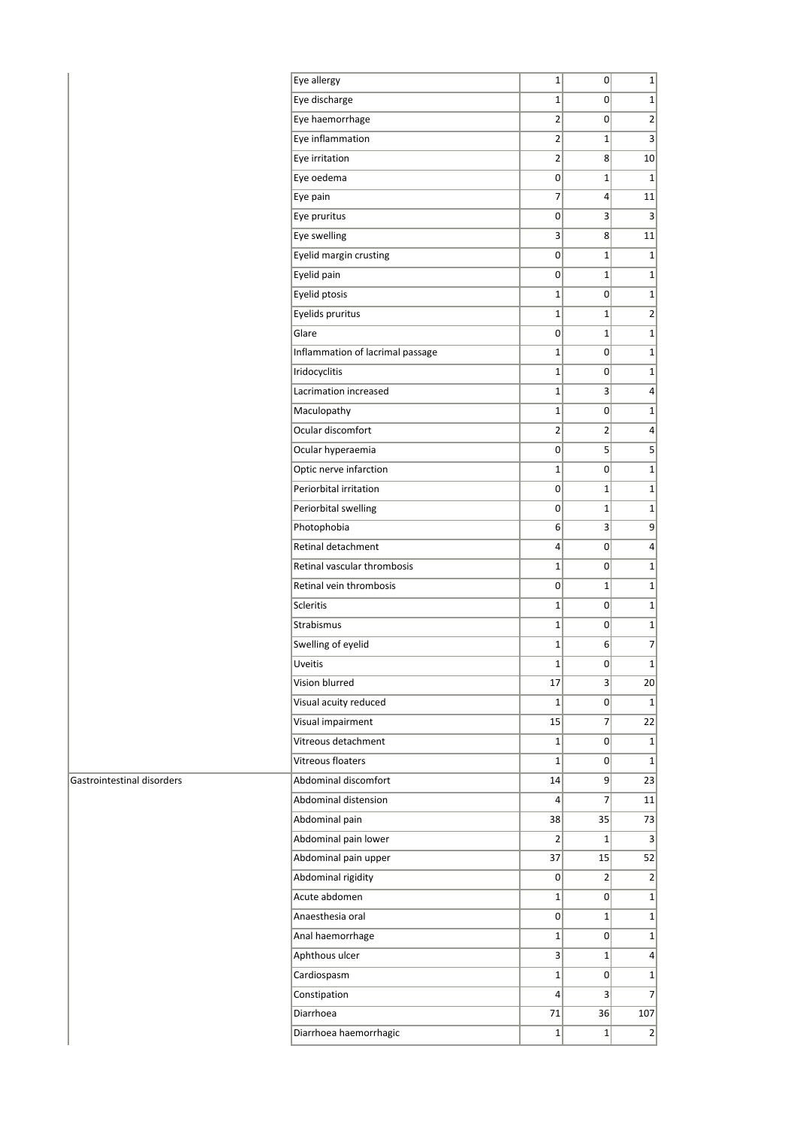| Eye allergy                      | 1              | 0              | $\mathbf{1}$            |
|----------------------------------|----------------|----------------|-------------------------|
| Eye discharge                    | $\mathbf{1}$   | 0              | $\mathbf{1}$            |
| Eye haemorrhage                  | $\overline{2}$ | 0              | $\overline{2}$          |
| Eye inflammation                 | $\overline{2}$ | 1              | $\overline{\mathbf{3}}$ |
| Eye irritation                   | $\overline{2}$ | 8              | 10 <sup>1</sup>         |
| Eye oedema                       | 0              | 1              | $\mathbf{1}$            |
| Eye pain                         | 7              | 4              | 11                      |
| Eye pruritus                     | 0              | 3              | 3                       |
| Eye swelling                     | 3              | 8              | 11                      |
| Eyelid margin crusting           | 0              | $\mathbf{1}$   | $\mathbf{1}$            |
| Eyelid pain                      | 0              | 1              | $\mathbf{1}$            |
| Eyelid ptosis                    | 1              | 0              | $\mathbf{1}$            |
| Eyelids pruritus                 | $\mathbf{1}$   | 1              | $\overline{2}$          |
| Glare                            | 0              | $\mathbf{1}$   | $\mathbf 1$             |
| Inflammation of lacrimal passage | $\mathbf 1$    | 0              | $\mathbf 1$             |
| Iridocyclitis                    | $\mathbf{1}$   | 0              | $\mathbf 1$             |
| Lacrimation increased            | $\mathbf{1}$   | 3              | 4                       |
| Maculopathy                      | $\mathbf{1}$   | 0              | $\mathbf{1}$            |
| Ocular discomfort                | $\overline{2}$ | $\overline{2}$ | 4                       |
| Ocular hyperaemia                | 0              | 5              | 5                       |
| Optic nerve infarction           | 1              | 0              | $\mathbf{1}$            |
| Periorbital irritation           | 0              | 1              | $\mathbf{1}$            |
| Periorbital swelling             | 0              | 1              | $\mathbf{1}$            |
| Photophobia                      | 6              | 3              | 9                       |
| Retinal detachment               | 4              | 0              | $\overline{4}$          |
| Retinal vascular thrombosis      | 1              | 0              | $\mathbf 1$             |
| Retinal vein thrombosis          | 0              | 1              | $\mathbf{1}$            |
| Scleritis                        | $\mathbf 1$    | 0              | $\mathbf 1$             |
| Strabismus                       | $\mathbf 1$    | 0              | $\mathbf 1$             |
| Swelling of eyelid               | $\mathbf{1}$   | 6              | $\overline{7}$          |
| <b>Uveitis</b>                   | 1              | 0              | $\mathbf 1$             |
| Vision blurred                   | 17             | $\overline{3}$ | 20 <sub>2</sub>         |
| Visual acuity reduced            | $\mathbf{1}$   | 0              | $\mathbf{1}$            |
| Visual impairment                | 15             | 7              | 22                      |
| Vitreous detachment              | $\mathbf{1}$   | 0              | $1\vert$                |
| Vitreous floaters                | $\mathbf{1}$   |                |                         |
|                                  |                | 0              | $\mathbf{1}$            |
| Abdominal discomfort             | 14             | 9              | 23                      |
| Abdominal distension             | 4              | $\overline{7}$ | 11                      |
| Abdominal pain                   | 38             | 35             | 73                      |
| Abdominal pain lower             | 2              | $1\vert$       | $\vert 3 \vert$         |
| Abdominal pain upper             | 37             | 15             | 52                      |
| Abdominal rigidity               | 0              | $\overline{2}$ | $\overline{2}$          |
| Acute abdomen                    | 1              | 0              | $\mathbf{1}$            |
| Anaesthesia oral                 | 0              | 1              | $\mathbf{1}$            |
| Anal haemorrhage                 | 1              | 0              | $\mathbf{1}$            |
| Aphthous ulcer                   | 3              | $\mathbf{1}$   | $\vert 4 \vert$         |
| Cardiospasm                      | $\mathbf 1$    | 0              | $\mathbf 1$             |
| Constipation                     | 4              | $\vert$        | $\overline{7}$          |
| Diarrhoea                        | 71             | 36             | 107                     |
| Diarrhoea haemorrhagic           | $\mathbf 1$    | $\mathbf{1}$   | $\overline{2}$          |

## Gastrointestinal disorders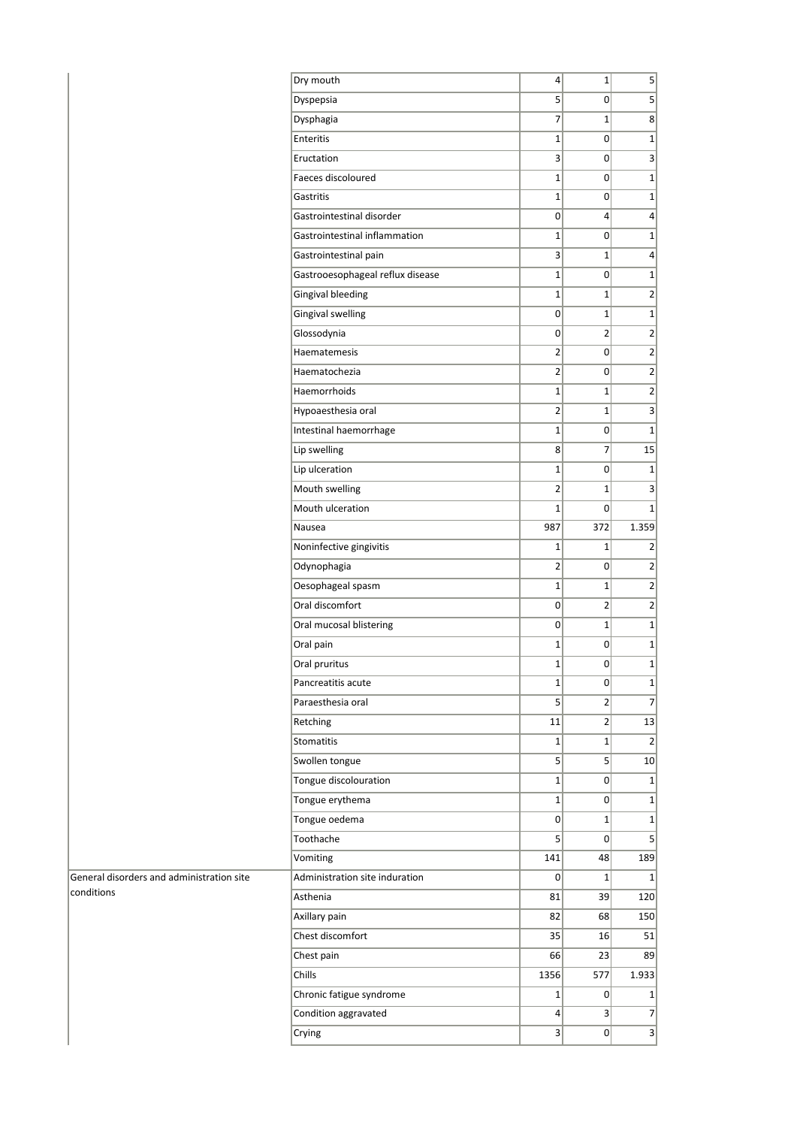|                                           | Dry mouth                        | $\overline{4}$          | $1\vert$       | $\mathbf{5}$     |
|-------------------------------------------|----------------------------------|-------------------------|----------------|------------------|
|                                           | Dyspepsia                        | 5 <sup>1</sup>          | 0              | $\overline{5}$   |
|                                           | Dysphagia                        | 7                       | $1\vert$       | $\mathbf{8}$     |
|                                           | Enteritis                        | $1\vert$                | $\overline{0}$ | $1\vert$         |
|                                           | Eructation                       | $\overline{\mathbf{3}}$ | 0              | $\overline{3}$   |
|                                           | Faeces discoloured               | $1\vert$                | 0              | $1\vert$         |
|                                           | Gastritis                        | $\mathbf 1$             | 0              | 1                |
|                                           | Gastrointestinal disorder        | $\overline{0}$          | $\vert$        | $\left  \right $ |
|                                           | Gastrointestinal inflammation    | $1\vert$                | $\overline{0}$ | $1\vert$         |
|                                           | Gastrointestinal pain            | $\overline{3}$          | $\mathbf{1}$   | $\overline{4}$   |
|                                           | Gastrooesophageal reflux disease | $1\vert$                | $\overline{0}$ | 1                |
|                                           | <b>Gingival bleeding</b>         | $1\vert$                | $\mathbf 1$    | $\overline{2}$   |
|                                           | Gingival swelling                | $\overline{0}$          | $\mathbf 1$    | 1                |
|                                           | Glossodynia                      | $\overline{0}$          | $\overline{2}$ | $\overline{2}$   |
|                                           | Haematemesis                     | $\overline{2}$          | $\overline{0}$ | $\overline{2}$   |
|                                           | Haematochezia                    | $\overline{2}$          | $\overline{0}$ | $\overline{2}$   |
|                                           | Haemorrhoids                     | $1\vert$                | $\mathbf{1}$   | $\overline{2}$   |
|                                           | Hypoaesthesia oral               | $\overline{2}$          | $\mathbf 1$    | 3                |
|                                           | Intestinal haemorrhage           | $1\vert$                | $\overline{0}$ | $\overline{1}$   |
|                                           | Lip swelling                     | 8                       | $\overline{7}$ | 15               |
|                                           | Lip ulceration                   | $1\vert$                | $\overline{0}$ | 1                |
|                                           | Mouth swelling                   | $\mathbf{2}$            | $\mathbf 1$    | 3                |
|                                           | Mouth ulceration                 | $1\vert$                | $\mathbf 0$    | $1\vert$         |
|                                           | Nausea                           | 987                     | 372            | 1.359            |
|                                           | Noninfective gingivitis          | $1\vert$                | $1\,$          | 2                |
|                                           | Odynophagia                      | $\overline{2}$          | 0              | $\overline{2}$   |
|                                           | Oesophageal spasm                | $1\vert$                | $\mathbf 1$    | $\overline{2}$   |
|                                           | Oral discomfort                  | 0                       | $\overline{2}$ | $\overline{2}$   |
|                                           | Oral mucosal blistering          | 0                       | $\mathbf 1$    | 1                |
|                                           | Oral pain                        | $1\vert$                | $\overline{0}$ | 1                |
|                                           | Oral pruritus                    | $1\vert$                | 0              | $1\vert$         |
|                                           | Pancreatitis acute               | $1\vert$                | 0              | 1                |
|                                           | Paraesthesia oral                | 5 <sup>1</sup>          | $\overline{2}$ | 7 <sup>1</sup>   |
|                                           | Retching                         | 11                      | $\overline{2}$ | 13               |
|                                           | <b>Stomatitis</b>                | $1\vert$                | $\mathbf{1}$   | 2                |
|                                           | Swollen tongue                   | 5 <sup>1</sup>          | $\mathsf{S}$   | 10               |
|                                           | Tongue discolouration            | $1\vert$                | 0              | $1\vert$         |
|                                           | Tongue erythema                  | $1\vert$                | $\overline{0}$ | 1                |
|                                           | Tongue oedema                    | $\overline{0}$          | $1\vert$       | 1                |
|                                           | Toothache                        | 5 <sup>1</sup>          | $\overline{0}$ | $\overline{5}$   |
|                                           | Vomiting                         | 141                     | 48             | 189              |
| General disorders and administration site | Administration site induration   | 0                       | $1\vert$       | $1\vert$         |
| conditions                                | Asthenia                         | 81                      | 39             | 120              |
|                                           | Axillary pain                    | 82                      | 68             | 150              |
|                                           | Chest discomfort                 | 35                      | 16             | 51               |
|                                           | Chest pain                       | 66                      | 23             | 89               |
|                                           | Chills                           | 1356                    | 577            | 1.933            |
|                                           | Chronic fatigue syndrome         | $1\vert$                | 0              | $1\vert$         |
|                                           | Condition aggravated             | $\vert 4 \vert$         | $\overline{3}$ | $\overline{7}$   |
|                                           | Crying                           | $\vert$                 | $\overline{0}$ | 3                |
|                                           |                                  |                         |                |                  |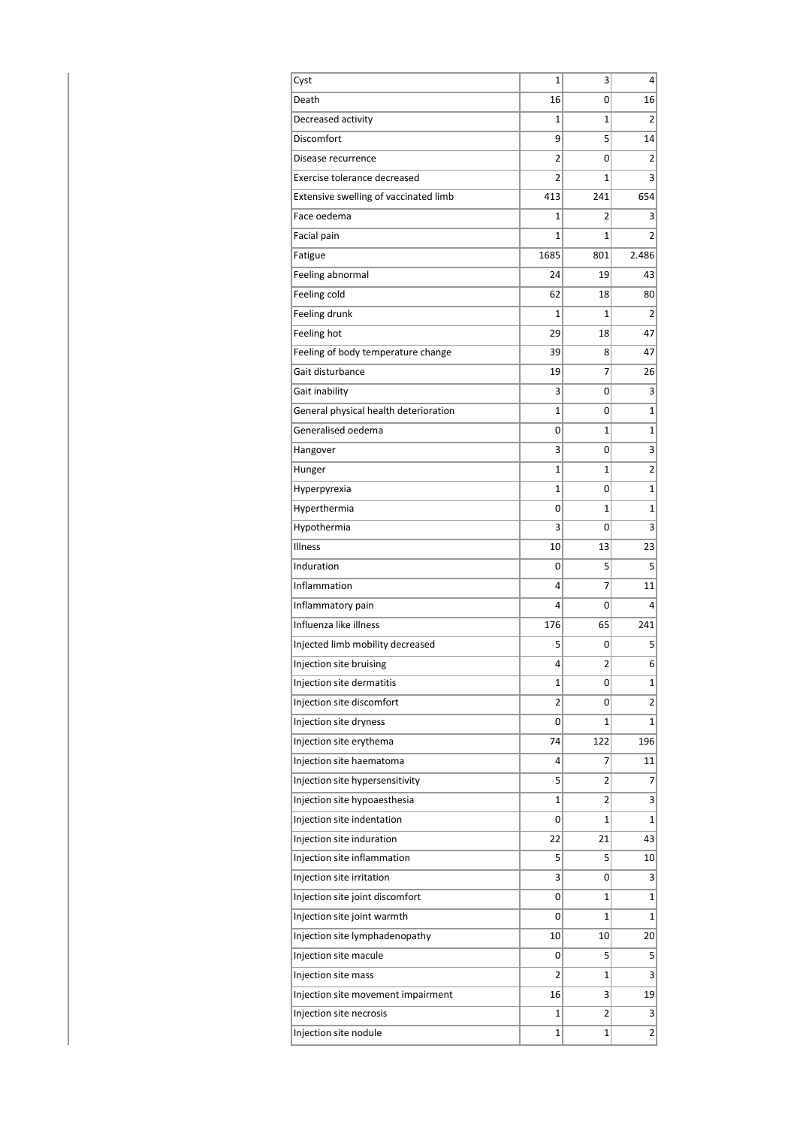| Cyst                                  | 1              | 3              | 4               |
|---------------------------------------|----------------|----------------|-----------------|
| Death                                 | 16             | 0              | 16              |
| Decreased activity                    | 1              | $\mathbf{1}$   | $\overline{2}$  |
| Discomfort                            | 9              | 5              | 14              |
| Disease recurrence                    | 2              | 0              | 2               |
| Exercise tolerance decreased          | $\overline{2}$ | $\mathbf{1}$   | 3               |
| Extensive swelling of vaccinated limb | 413            | 241            | 654             |
| Face oedema                           | 1              | 2              | 3               |
| Facial pain                           | 1              | 1              | $\overline{2}$  |
| Fatigue                               | 1685           | 801            | 2.486           |
| Feeling abnormal                      | 24             | 19             | 43              |
| Feeling cold                          | 62             | 18             | 80              |
| Feeling drunk                         | 1              | $\mathbf{1}$   | $\overline{2}$  |
| Feeling hot                           | 29             | 18             | 47              |
| Feeling of body temperature change    | 39             | 8              | 47              |
| Gait disturbance                      | 19             | 7              | 26              |
| Gait inability                        | 3              | 0              | 3               |
| General physical health deterioration | 1              | 0              | $\overline{1}$  |
| Generalised oedema                    | 0              | $\mathbf{1}$   | 1               |
| Hangover                              | 3              | 0              | 3               |
| Hunger                                | 1              | 1              | 2               |
| Hyperpyrexia                          | $\mathbf{1}$   | 0              | 1               |
| Hyperthermia                          | 0              | $\mathbf{1}$   | $\overline{1}$  |
| Hypothermia                           | 3              | 0              | 3               |
| Illness                               | 10             | 13             | 23              |
| Induration                            | 0              | 5              | 5               |
| Inflammation                          | 4              | 7              | 11              |
| Inflammatory pain                     | 4              | 0              | $\overline{4}$  |
| Influenza like illness                | 176            | 65             | 241             |
| Injected limb mobility decreased      | 5              | 0              | 5               |
| Injection site bruising               | 4              | 2              | 6               |
| Injection site dermatitis             | 1              | 0              | $\mathbf{1}$    |
| Injection site discomfort             | 2              | 0              | $\overline{2}$  |
| Injection site dryness                | 0              | $\mathbf{1}$   | $\mathbf{1}$    |
| Injection site erythema               | 74             | 122            | 196             |
| Injection site haematoma              | 4              | 7              | 11              |
| Injection site hypersensitivity       | 5              | $\overline{2}$ | $\overline{7}$  |
| Injection site hypoaesthesia          | $\mathbf{1}$   | 2              | 3               |
| Injection site indentation            | 0              | $\mathbf{1}$   | $\mathbf{1}$    |
| Injection site induration             | 22             | 21             | 43              |
| Injection site inflammation           | 5              | 5              | 10              |
| Injection site irritation             | 3              | 0              | 3               |
| Injection site joint discomfort       | 0              | 1              | $\mathbf{1}$    |
| Injection site joint warmth           | 0              | $\mathbf{1}$   | $\mathbf{1}$    |
| Injection site lymphadenopathy        | 10             | 10             | 20              |
| Injection site macule                 | 0              | 5              | $5\overline{)}$ |
| Injection site mass                   | 2              | 1              | $\vert$ 3       |
| Injection site movement impairment    | 16             | 3              | 19              |
| Injection site necrosis               | 1              | $\overline{2}$ | 3               |
| Injection site nodule                 | 1              | 1              | $\overline{2}$  |
|                                       |                |                |                 |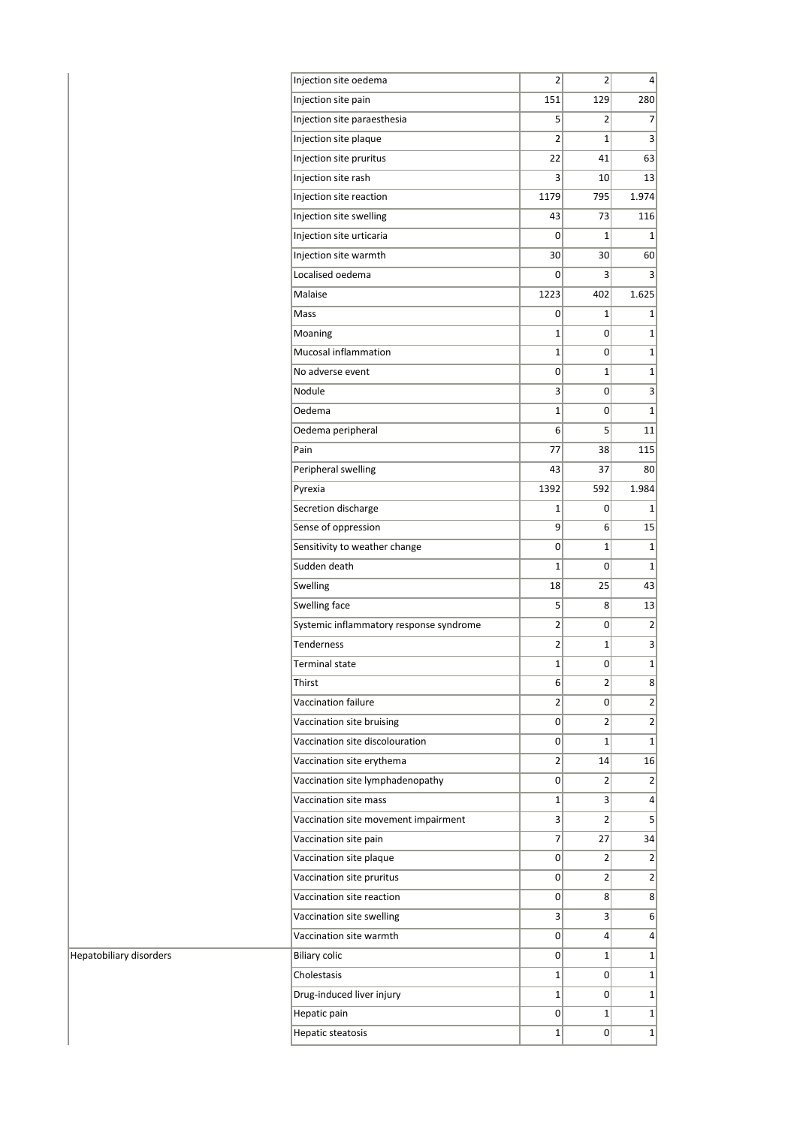| Injection site oedema                   | 2              | $\mathbf{2}$      | $\vert 4 \vert$         |
|-----------------------------------------|----------------|-------------------|-------------------------|
| Injection site pain                     | 151            | 129               | 280                     |
| Injection site paraesthesia             | 5              | $\mathbf{2}$      | 7                       |
| Injection site plaque                   | 2              | $\mathbf{1}$      | 3                       |
| Injection site pruritus                 | 22             | 41                | 63                      |
| Injection site rash                     | 3              | 10 <sup>1</sup>   | 13                      |
| Injection site reaction                 | 1179           | 795               | 1.974                   |
| Injection site swelling                 | 43             | 73                | 116                     |
| Injection site urticaria                | 0              | 1                 | $\mathbf{1}$            |
| Injection site warmth                   | 30             | 30 <sup>2</sup>   | 60                      |
| Localised oedema                        | 0              | 3                 | 3                       |
| Malaise                                 | 1223           | 402               | 1.625                   |
| Mass                                    | 0              | 1                 | $\mathbf{1}$            |
| Moaning                                 | $\mathbf{1}$   | 0                 | $\mathbf{1}$            |
| Mucosal inflammation                    | 1              | 0                 | $\mathbf{1}$            |
| No adverse event                        | 0              | 1                 | 1                       |
| Nodule                                  | 3              | 0                 | 3                       |
| Oedema                                  | $\mathbf{1}$   | 0                 | $\mathbf{1}$            |
| Oedema peripheral                       | 6              | 5                 | 11                      |
| Pain                                    | 77             | 38                | 115                     |
| Peripheral swelling                     | 43             | 37                | 80                      |
| Pyrexia                                 | 1392           | 592               | 1.984                   |
| Secretion discharge                     | 1              | 0                 | 1                       |
| Sense of oppression                     | 9              | $6 \mid$          | 15                      |
| Sensitivity to weather change           | 0              | $\mathbf{1}$      | $\mathbf{1}$            |
| Sudden death                            | 1              | 0                 | $\mathbf{1}$            |
| Swelling                                | 18             | 25                | 43                      |
| Swelling face                           | 5              | 8                 | 13                      |
| Systemic inflammatory response syndrome | $\overline{2}$ | 0                 | $\overline{2}$          |
| <b>Tenderness</b>                       | 2              | 1                 | 3                       |
| <b>Terminal state</b>                   | $\mathbf 1$    | 0                 | $\mathbf{1}$            |
| Thirst                                  | 6              | $\overline{2}$    | 8 <sup>2</sup>          |
| Vaccination failure                     | 2              | 0                 | 2                       |
| Vaccination site bruising               | 0              | $\overline{2}$    | $\overline{2}$          |
| Vaccination site discolouration         | 0              | 1                 | $\mathbf{1}$            |
| Vaccination site erythema               | 2              | 14                | 16                      |
| Vaccination site lymphadenopathy        | $\overline{0}$ | $\overline{2}$    | $\overline{2}$          |
| Vaccination site mass                   | $\mathbf 1$    | $\vert$           | $\overline{4}$          |
| Vaccination site movement impairment    | 3              | $\overline{2}$    | $\overline{\mathbf{5}}$ |
| Vaccination site pain                   | 7              | 27                | 34                      |
| Vaccination site plaque                 | 0              | $\overline{2}$    | $\overline{2}$          |
| Vaccination site pruritus               | $\overline{0}$ | $\overline{2}$    | $\overline{2}$          |
| Vaccination site reaction               | $\overline{0}$ |                   | 8 <sup>2</sup>          |
|                                         |                | 8                 |                         |
| Vaccination site swelling               | 3              | $\lvert 3 \rvert$ | 6                       |
| Vaccination site warmth                 | 0              | $\left 4\right $  | $\pmb{4}$               |
| <b>Biliary colic</b>                    | 0              | $\mathbf{1}$      | $\mathbf{1}$            |
| Cholestasis                             | 1              | 0                 | $1\vert$                |
| Drug-induced liver injury               | 1              | 0                 | $\mathbf{1}$            |
| Hepatic pain                            | 0              | $\mathbf{1}$      | $\mathbf{1}$            |
| Hepatic steatosis                       | 1              | 0                 | $1\vert$                |

Hepatobiliary disorders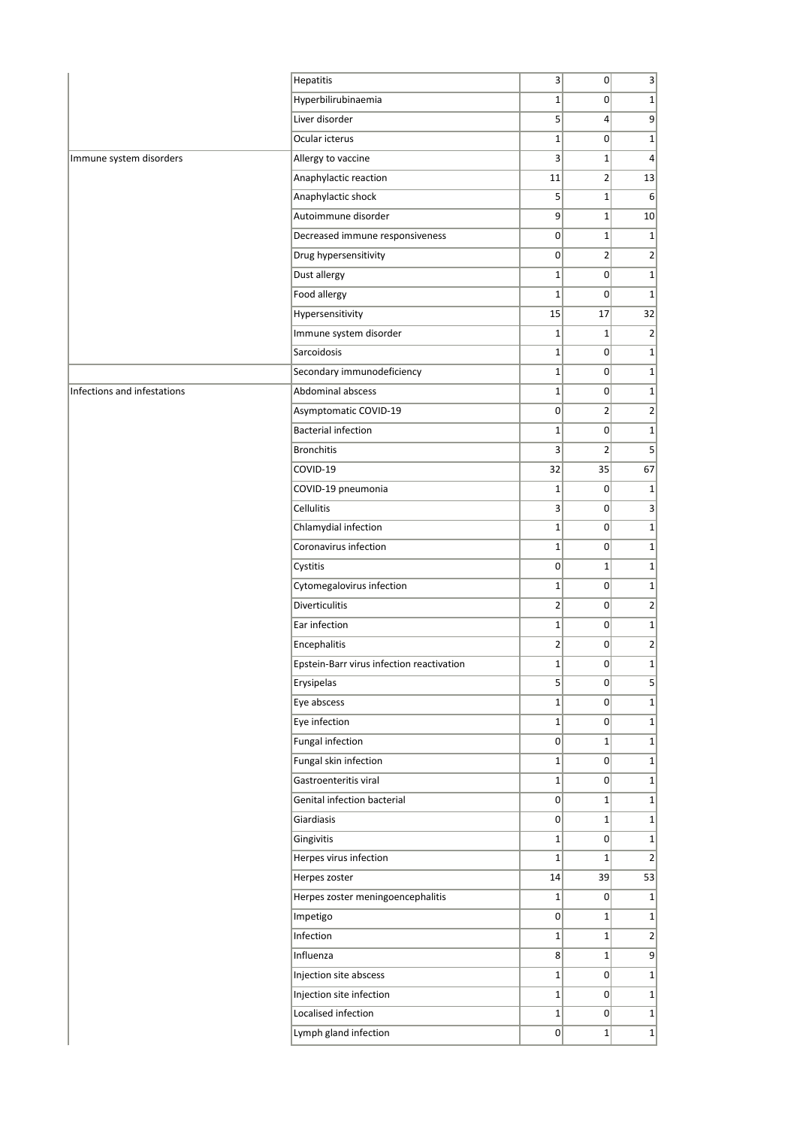|                             | Hepatitis                                 | 3               | $\overline{0}$ | 3                            |
|-----------------------------|-------------------------------------------|-----------------|----------------|------------------------------|
|                             | Hyperbilirubinaemia                       | $1\vert$        | 0              | $\mathbf{1}$                 |
|                             | Liver disorder                            | 5 <sup>1</sup>  | $\vert$        | 9                            |
|                             | Ocular icterus                            | $1\overline{ }$ | $\overline{0}$ | $\mathbf{1}$                 |
| Immune system disorders     | Allergy to vaccine                        | $\overline{3}$  | $1\vert$       | $\overline{4}$               |
|                             | Anaphylactic reaction                     | 11              | $2\vert$       | 13                           |
|                             | Anaphylactic shock                        | 5 <sup>1</sup>  | $1\vert$       | 6                            |
|                             | Autoimmune disorder                       | $\vert 9 \vert$ | $1\vert$       | 10                           |
|                             | Decreased immune responsiveness           | 0               | $1\vert$       | $\mathbf{1}$                 |
|                             | Drug hypersensitivity                     | 0               | $\overline{2}$ | $\overline{2}$               |
|                             | Dust allergy                              | $1\overline{ }$ | $\overline{0}$ | $\mathbf{1}$                 |
|                             | Food allergy                              | $1\overline{ }$ | 0              | $\mathbf 1$                  |
|                             | Hypersensitivity                          | 15              | 17             | 32                           |
|                             | Immune system disorder                    | $\mathbf{1}$    | $1\vert$       | $\overline{2}$               |
|                             | Sarcoidosis                               | $1\overline{ }$ | $\overline{0}$ | $\mathbf{1}$                 |
|                             | Secondary immunodeficiency                | $1\overline{ }$ | $\overline{0}$ | $\mathbf{1}$                 |
| Infections and infestations | Abdominal abscess                         | $1\vert$        | $\overline{0}$ | $\mathbf{1}$                 |
|                             | Asymptomatic COVID-19                     | 0               | $\overline{2}$ | $\overline{2}$               |
|                             | <b>Bacterial infection</b>                | $1\overline{ }$ | 0              | $\mathbf{1}$                 |
|                             | <b>Bronchitis</b>                         | 3               | $\overline{2}$ | 5                            |
|                             | COVID-19                                  | 32              | 35             | 67                           |
|                             | COVID-19 pneumonia                        | $\mathbf{1}$    | $\Omega$       | $\mathbf 1$                  |
|                             | Cellulitis                                | 3               | $\overline{0}$ | $\overline{\mathbf{3}}$      |
|                             | Chlamydial infection                      | $\mathbf{1}$    | $\overline{0}$ | $\mathbf 1$                  |
|                             | Coronavirus infection                     | $1\vert$        | 0              | $\mathbf{1}$                 |
|                             | Cystitis                                  | 0               | $1\vert$       | $\mathbf{1}$                 |
|                             | Cytomegalovirus infection                 | $1\vert$        | $\Omega$       | $\mathbf{1}$                 |
|                             | <b>Diverticulitis</b>                     | $\overline{2}$  | 0              | $\overline{2}$               |
|                             | Ear infection                             | $1\overline{ }$ | 0              | $\mathbf{1}$                 |
|                             | Encephalitis                              | $\overline{2}$  | 0              | $\overline{2}$               |
|                             | Epstein-Barr virus infection reactivation | $1\vert$        | 0              |                              |
|                             | Erysipelas                                | 5 <sup>1</sup>  | 0              |                              |
|                             | Eye abscess                               | $1\vert$        | 0              | $5\overline{)}$              |
|                             | Eye infection                             | $1\vert$        | $\overline{0}$ | $\mathbf{1}$                 |
|                             |                                           |                 |                |                              |
|                             | Fungal infection                          | 0               | $1\vert$       | $\mathbf{1}$<br>$\mathbf{1}$ |
|                             | Fungal skin infection                     | $1\vert$        | 0              |                              |
|                             | Gastroenteritis viral                     | $1\vert$        | 0              | $\mathbf{1}$                 |
|                             | Genital infection bacterial               | 0               | $1\vert$       | $\mathbf{1}$                 |
|                             | Giardiasis                                | 0               | $1\vert$       | $\mathbf{1}$                 |
|                             | Gingivitis                                | $1\vert$        | 0              | $\mathbf{1}$                 |
|                             | Herpes virus infection                    | $\mathbf{1}$    | $1\vert$       | $\overline{2}$               |
|                             | Herpes zoster                             | 14              | 39             | 53                           |
|                             | Herpes zoster meningoencephalitis         | $1\vert$        | 0              | $\mathbf{1}$                 |
|                             | Impetigo                                  | 0               | $1\vert$       | $\mathbf{1}$                 |
|                             | Infection                                 | $1\vert$        | $1\vert$       | $\overline{2}$               |
|                             | Influenza                                 | 8               | $1\vert$       | $\vert 9 \vert$              |
|                             | Injection site abscess                    | $1\vert$        | 0              | $\mathbf{1}$                 |
|                             |                                           |                 |                |                              |
|                             | Injection site infection                  | $1\vert$        | $\overline{0}$ |                              |
|                             | Localised infection                       | $1\vert$        | $\overline{0}$ | $\mathbf{1}$<br>$\mathbf{1}$ |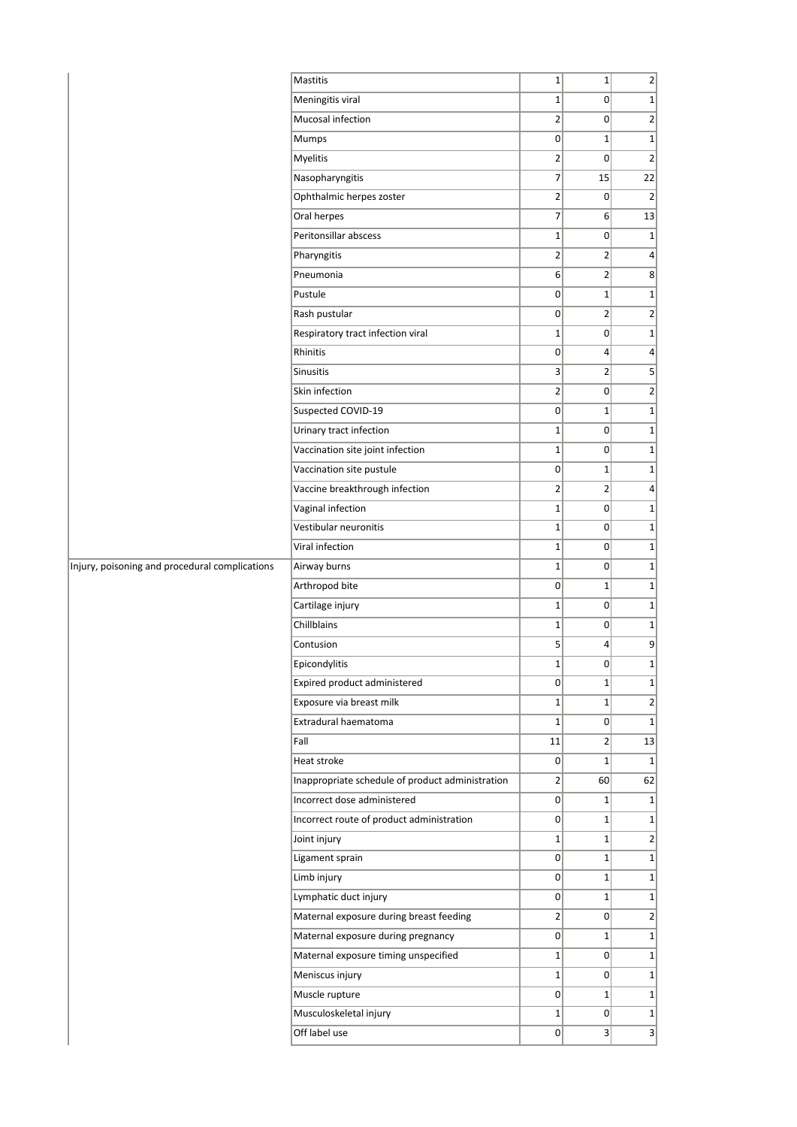|                                                | <b>Mastitis</b>                                  | $\mathbf 1$     | $1\vert$       | 2                           |
|------------------------------------------------|--------------------------------------------------|-----------------|----------------|-----------------------------|
|                                                | Meningitis viral                                 | $\mathbf{1}$    | 0              | $1\vert$                    |
|                                                | Mucosal infection                                | $\overline{2}$  | $\overline{0}$ | $\overline{2}$              |
|                                                | Mumps                                            | $\overline{0}$  | $\mathbf{1}$   | 1                           |
|                                                | Myelitis                                         | $\overline{2}$  | 0              | $\overline{2}$              |
|                                                | Nasopharyngitis                                  | 7               | 15             | 22                          |
|                                                | Ophthalmic herpes zoster                         | $\overline{2}$  | 0              | $\overline{2}$              |
|                                                | Oral herpes                                      | $\overline{7}$  | $6 \mid$       | 13                          |
|                                                | Peritonsillar abscess                            | $\mathbf 1$     | $\overline{0}$ | 1                           |
|                                                | Pharyngitis                                      | $\overline{2}$  | $\overline{2}$ | 4                           |
|                                                | Pneumonia                                        | 6               | $\overline{2}$ | 8 <sup>1</sup>              |
|                                                | Pustule                                          | 0               | $\mathbf 1$    | $1\vert$                    |
|                                                | Rash pustular                                    | $\overline{0}$  | $\overline{2}$ | $\overline{2}$              |
|                                                | Respiratory tract infection viral                | $\mathbf 1$     | $\overline{0}$ | $1\vert$                    |
|                                                | Rhinitis                                         | $\overline{0}$  | $\overline{4}$ | $\left  4 \right $          |
|                                                | Sinusitis                                        | $\overline{3}$  | $\overline{2}$ | $\vert$                     |
|                                                | Skin infection                                   | $\overline{2}$  | 0              | $\left  \mathbf{2} \right $ |
|                                                | Suspected COVID-19                               | $\overline{0}$  | $1\vert$       | 1                           |
|                                                | Urinary tract infection                          | $\mathbf 1$     | $\overline{0}$ | $1\vert$                    |
|                                                | Vaccination site joint infection                 | $1\vert$        | $\overline{0}$ | $1\vert$                    |
|                                                | Vaccination site pustule                         | $\overline{0}$  | $\mathbf{1}$   | $1\vert$                    |
|                                                | Vaccine breakthrough infection                   | $\overline{2}$  | $\overline{2}$ | $\left  4 \right $          |
|                                                | Vaginal infection                                | $\mathbf 1$     | 0              | $1\vert$                    |
|                                                | Vestibular neuronitis                            | $\mathbf 1$     | $\overline{0}$ | $1\vert$                    |
|                                                | Viral infection                                  | $1\vert$        | 0              | $1\vert$                    |
| Injury, poisoning and procedural complications | Airway burns                                     | $\mathbf 1$     | $\overline{0}$ | $1\vert$                    |
|                                                | Arthropod bite                                   | $\overline{0}$  | $\mathbf{1}$   | $1\vert$                    |
|                                                | Cartilage injury                                 | $\mathbf 1$     | $\overline{0}$ | $1\vert$                    |
|                                                | Chillblains                                      | $\mathbf 1$     | $\overline{0}$ | $1\vert$                    |
|                                                | Contusion                                        | 5               | $\overline{4}$ | 9                           |
|                                                | Epicondylitis                                    | $\mathbf 1$     | 0              | $1\vert$                    |
|                                                | Expired product administered                     | 0               | $1\vert$       | $1\vert$                    |
|                                                | Exposure via breast milk                         | $1\vert$        | $\mathbf{1}$   | 2 <sup>1</sup>              |
|                                                | Extradural haematoma                             | $1\vert$        | $\overline{0}$ | 1                           |
|                                                | Fall                                             | 11              | $\overline{2}$ | 13                          |
|                                                | Heat stroke                                      | $\overline{0}$  | $1\vert$       | 1                           |
|                                                | Inappropriate schedule of product administration | $\overline{2}$  | 60             | 62                          |
|                                                | Incorrect dose administered                      | 0               | $1\vert$       | $1\vert$                    |
|                                                | Incorrect route of product administration        | $\Omega$        | $1\vert$       | $1\vert$                    |
|                                                | Joint injury                                     | $1\overline{ }$ | $1\vert$       | 2                           |
|                                                | Ligament sprain                                  | 0               | $1\vert$       | $1\vert$                    |
|                                                | Limb injury                                      | $\overline{0}$  | $1\vert$       | 1                           |
|                                                | Lymphatic duct injury                            | $\overline{0}$  | $\mathbf{1}$   | $1\vert$                    |
|                                                | Maternal exposure during breast feeding          | $\overline{2}$  | $\overline{0}$ | $\overline{2}$              |
|                                                | Maternal exposure during pregnancy               | $\overline{0}$  | $\mathbf{1}$   | 1                           |
|                                                | Maternal exposure timing unspecified             | $1\vert$        | $\overline{0}$ | $1\vert$                    |
|                                                | Meniscus injury                                  | $1\overline{ }$ | 0              | $1\vert$                    |
|                                                | Muscle rupture                                   | $\overline{0}$  | $\mathbf{1}$   | $1\vert$                    |
|                                                | Musculoskeletal injury                           | $1\vert$        | $\overline{0}$ | $1\vert$                    |
|                                                | Off label use                                    | 0               | $\vert$        | 3                           |
|                                                |                                                  |                 |                |                             |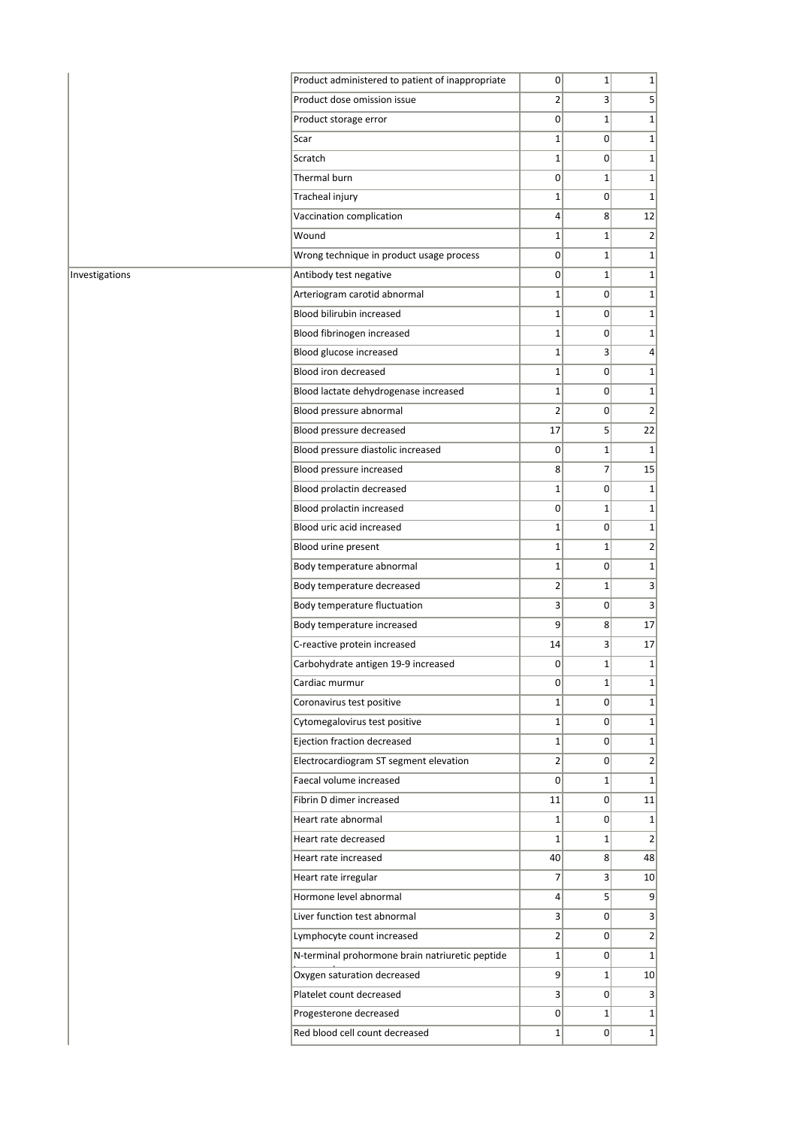|                | Product administered to patient of inappropriate | 0              | $1\vert$        | $1\vert$         |
|----------------|--------------------------------------------------|----------------|-----------------|------------------|
|                | Product dose omission issue                      | $\overline{2}$ | $\overline{3}$  | $\overline{5}$   |
|                | Product storage error                            | $\overline{0}$ | $\mathbf 1$     | $1\vert$         |
|                | Scar                                             | $1\vert$       | $\overline{0}$  | $1\vert$         |
|                | Scratch                                          | $1\vert$       | $\overline{0}$  | $1\vert$         |
|                | Thermal burn                                     | $\overline{0}$ | $\mathbf 1$     | $1\vert$         |
|                | Tracheal injury                                  | 1              | $\Omega$        | $1\vert$         |
|                | Vaccination complication                         | $\overline{4}$ | 8 <sup>°</sup>  | 12               |
|                | Wound                                            | $1\vert$       | $\mathbf 1$     | $\overline{2}$   |
|                | Wrong technique in product usage process         | 0              | $\mathbf 1$     | $1\vert$         |
| Investigations | Antibody test negative                           | 0              | $\mathbf 1$     | $1\vert$         |
|                | Arteriogram carotid abnormal                     | $1\vert$       | $\overline{0}$  | $1\vert$         |
|                | Blood bilirubin increased                        | $1\vert$       | $\overline{0}$  | $1\vert$         |
|                | Blood fibrinogen increased                       | $1\vert$       | $\overline{0}$  | $1\vert$         |
|                | Blood glucose increased                          | $1\vert$       | $\overline{3}$  | $\left 4\right $ |
|                | Blood iron decreased                             | $1\vert$       | $\overline{0}$  | $1\vert$         |
|                | Blood lactate dehydrogenase increased            | $1\vert$       | $\overline{0}$  | $1\vert$         |
|                | Blood pressure abnormal                          | $\overline{2}$ | 0               | $\overline{2}$   |
|                | Blood pressure decreased                         | 17             | 5 <sup>1</sup>  | 22               |
|                | Blood pressure diastolic increased               | 0              | $\mathbf 1$     | $1\vert$         |
|                | Blood pressure increased                         | 8 <sup>1</sup> | $\overline{7}$  | 15               |
|                | Blood prolactin decreased                        | $1\vert$       | $\overline{0}$  | $1\vert$         |
|                | Blood prolactin increased                        | 0              | $\mathbf{1}$    | $1\vert$         |
|                | Blood uric acid increased                        | $1\vert$       | $\overline{0}$  | $1\vert$         |
|                | Blood urine present                              | $1\vert$       | $\mathbf 1$     | $\overline{2}$   |
|                | Body temperature abnormal                        | $1\vert$       | $\overline{0}$  | $1\vert$         |
|                | Body temperature decreased                       | $\overline{2}$ | $\mathbf{1}$    | $\overline{3}$   |
|                | Body temperature fluctuation                     | 3              | $\overline{0}$  | $\vert$          |
|                | Body temperature increased                       | $\overline{9}$ | 8               | 17               |
|                | C-reactive protein increased                     | 14             | $\overline{3}$  | 17               |
|                | Carbohydrate antigen 19-9 increased              | $\Omega$       | $\mathbf 1$     | $1\vert$         |
|                | Cardiac murmur                                   | 0              | $1\vert$        | $1\vert$         |
|                | Coronavirus test positive                        | $1\vert$       | $\overline{0}$  | $1\vert$         |
|                | Cytomegalovirus test positive                    | $1\vert$       | $\overline{0}$  | $1\vert$         |
|                | Ejection fraction decreased                      | $1\vert$       | $\overline{0}$  | $1\vert$         |
|                | Electrocardiogram ST segment elevation           | $\overline{2}$ | $\Omega$        | $\overline{2}$   |
|                | Faecal volume increased                          | $\overline{0}$ | $1\vert$        | $1\vert$         |
|                | Fibrin D dimer increased                         | 11             | $\overline{0}$  | 11               |
|                | Heart rate abnormal                              | $1\vert$       | $\overline{0}$  | $1\vert$         |
|                | Heart rate decreased                             | $1\vert$       | $1\vert$        | 2                |
|                | Heart rate increased                             | 40             | 8 <sup>2</sup>  | 48               |
|                | Heart rate irregular                             | $\overline{7}$ | $\vert$         | 10 <sup>1</sup>  |
|                | Hormone level abnormal                           | 4              | 5 <sup>1</sup>  | 9 <sub>l</sub>   |
|                | Liver function test abnormal                     | $\overline{3}$ | $\overline{0}$  | 3                |
|                | Lymphocyte count increased                       | $\overline{2}$ | 0               | $\overline{2}$   |
|                | N-terminal prohormone brain natriuretic peptide  | $1\vert$       | 0               | 1                |
|                | Oxygen saturation decreased                      | $\overline{9}$ | $1\overline{ }$ | 10 <sup>1</sup>  |
|                | Platelet count decreased                         | 3              | $\overline{0}$  | 3                |
|                | Progesterone decreased                           | 0              | $\mathbf{1}$    | 1                |
|                | Red blood cell count decreased                   | $1\vert$       | $\overline{0}$  | $1\vert$         |
|                |                                                  |                |                 |                  |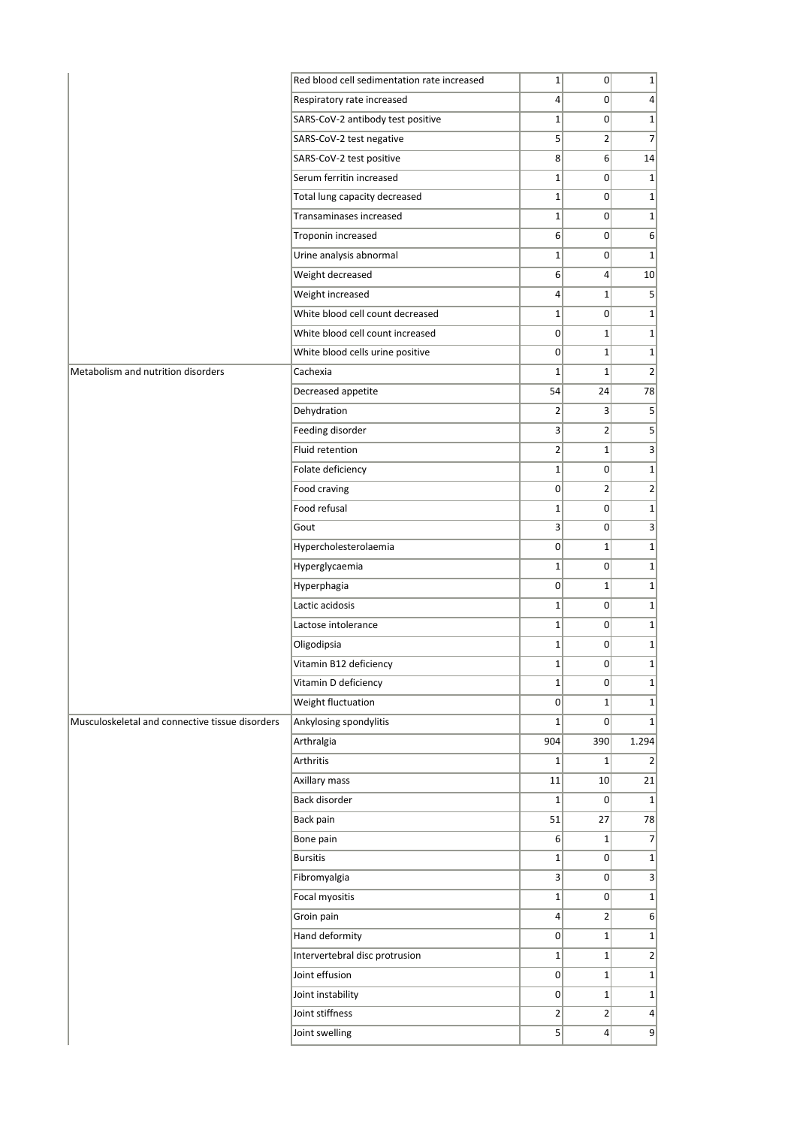|                                                 | Red blood cell sedimentation rate increased | $1\vert$       | $\overline{0}$   | $\mathbf{1}$    |
|-------------------------------------------------|---------------------------------------------|----------------|------------------|-----------------|
|                                                 | Respiratory rate increased                  | $\overline{4}$ | $\overline{0}$   | 4               |
|                                                 | SARS-CoV-2 antibody test positive           | $\mathbf 1$    | $\Omega$         | $\mathbf{1}$    |
|                                                 | SARS-CoV-2 test negative                    | 5              | $\overline{2}$   | $\overline{7}$  |
|                                                 | SARS-CoV-2 test positive                    | 8              | $6 \overline{6}$ | 14              |
|                                                 | Serum ferritin increased                    | $1\vert$       | $\overline{0}$   | $\mathbf 1$     |
|                                                 | Total lung capacity decreased               | $1\vert$       | $\overline{0}$   | $\mathbf 1$     |
|                                                 | Transaminases increased                     | $1\vert$       | $\overline{0}$   | $\mathbf 1$     |
|                                                 | Troponin increased                          | $6 \mid$       | $\overline{0}$   | 6               |
|                                                 | Urine analysis abnormal                     | $1\vert$       | $\overline{0}$   | $\mathbf{1}$    |
|                                                 | Weight decreased                            | $6 \mid$       | $\overline{4}$   | 10              |
|                                                 | Weight increased                            | $\overline{4}$ | $\mathbf{1}$     |                 |
|                                                 | White blood cell count decreased            | $1\vert$       | $\overline{0}$   |                 |
|                                                 | White blood cell count increased            | $\overline{0}$ | $\mathbf{1}$     |                 |
|                                                 | White blood cells urine positive            | $\overline{0}$ | $\mathbf{1}$     |                 |
| Metabolism and nutrition disorders              | Cachexia                                    | $\mathbf 1$    | $\mathbf 1$      |                 |
|                                                 | Decreased appetite                          | 54             | 24               | 78              |
|                                                 | Dehydration                                 | $\overline{2}$ | $\overline{3}$   |                 |
|                                                 | Feeding disorder                            | 3              | $\overline{2}$   |                 |
|                                                 | Fluid retention                             | $\overline{2}$ | $\mathbf{1}$     |                 |
|                                                 | Folate deficiency                           | $1\vert$       | $\overline{0}$   |                 |
|                                                 | Food craving                                | $\overline{0}$ | $\overline{2}$   |                 |
|                                                 | Food refusal                                | $\mathbf 1$    | $\overline{0}$   |                 |
|                                                 | Gout                                        | $\overline{3}$ | $\overline{0}$   |                 |
|                                                 | Hypercholesterolaemia                       | $\overline{0}$ | $1\overline{ }$  |                 |
|                                                 | Hyperglycaemia                              | $1\vert$       | $\overline{0}$   |                 |
|                                                 | Hyperphagia                                 | $\overline{0}$ | $\mathbf{1}$     |                 |
|                                                 | Lactic acidosis                             | $\mathbf 1$    | $\overline{0}$   |                 |
|                                                 | Lactose intolerance                         | $1\vert$       | $\overline{0}$   |                 |
|                                                 | Oligodipsia                                 | $1\vert$       | 0                |                 |
|                                                 | Vitamin B12 deficiency                      | $1\vert$       | 0                |                 |
|                                                 | Vitamin D deficiency                        | $1\vert$       | $\overline{0}$   |                 |
|                                                 | Weight fluctuation                          | $\overline{0}$ | $\mathbf{1}$     |                 |
| Musculoskeletal and connective tissue disorders | Ankylosing spondylitis                      | $\mathbf 1$    | $\Omega$         |                 |
|                                                 | Arthralgia                                  | 904            | 390              | 1.294           |
|                                                 | Arthritis                                   | $\mathbf 1$    | $\mathbf{1}$     |                 |
|                                                 | Axillary mass                               | 11             | 10               | 21              |
|                                                 | Back disorder                               | $1\vert$       | $\overline{0}$   |                 |
|                                                 | Back pain                                   | 51             | 27               | 78              |
|                                                 | Bone pain                                   | $6 \mid$       | $\mathbf{1}$     |                 |
|                                                 | <b>Bursitis</b>                             | $\mathbf 1$    | $\overline{0}$   |                 |
|                                                 | Fibromyalgia                                | $\overline{3}$ | 0                |                 |
|                                                 | Focal myositis                              | $1\vert$       | $\overline{0}$   |                 |
|                                                 | Groin pain                                  | 4              | $\overline{2}$   |                 |
|                                                 | Hand deformity                              | $\overline{0}$ | $\mathbf{1}$     |                 |
|                                                 | Intervertebral disc protrusion              | $1\vert$       | $1\overline{ }$  |                 |
|                                                 | Joint effusion                              | $\overline{0}$ | $1\overline{ }$  |                 |
|                                                 |                                             |                |                  |                 |
|                                                 | Joint instability                           | $\overline{0}$ | $\mathbf{1}$     |                 |
|                                                 | Joint stiffness                             | $\overline{2}$ | $\overline{2}$   | $\vert 4 \vert$ |
|                                                 | Joint swelling                              | 5              | $\overline{4}$   | 9               |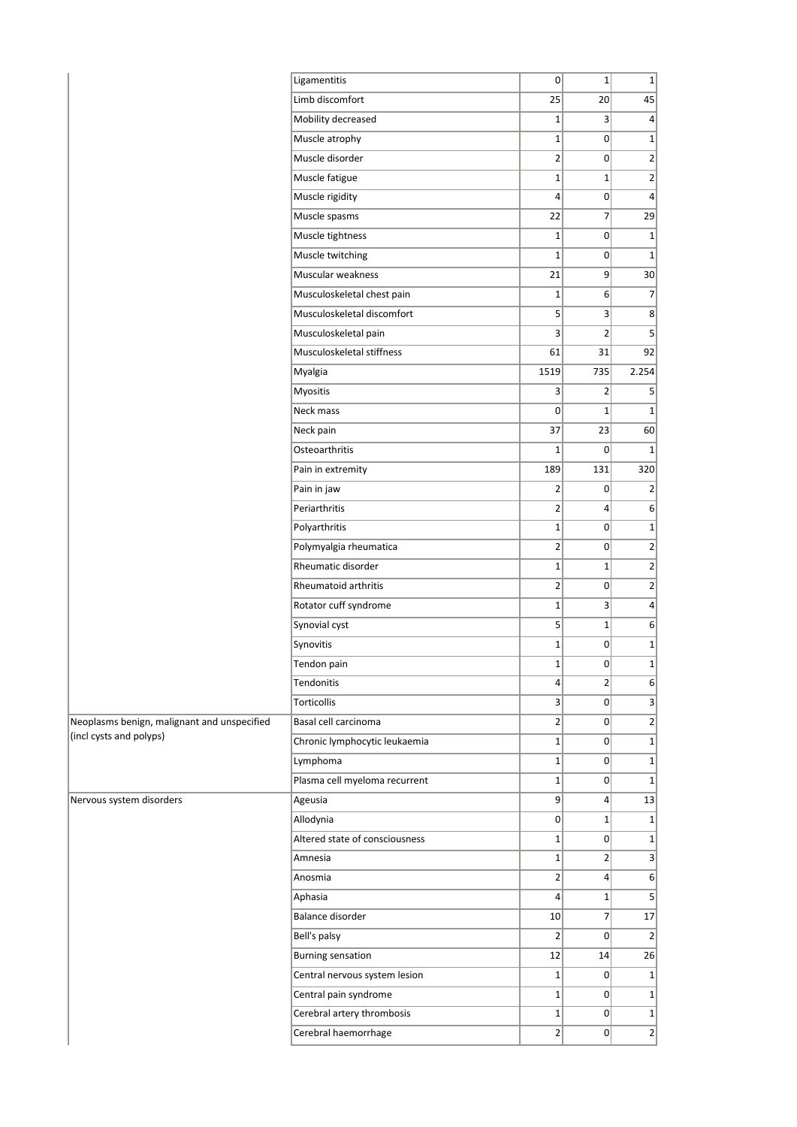|                                             | Ligamentitis                   | 0                       | $1\vert$        | $\mathbf{1}$    |
|---------------------------------------------|--------------------------------|-------------------------|-----------------|-----------------|
|                                             | Limb discomfort                | 25                      | 20 <sup>2</sup> | 45              |
|                                             | Mobility decreased             | $1\vert$                | 3               | $\vert 4 \vert$ |
|                                             | Muscle atrophy                 | $1\vert$                | 0               | $\mathbf{1}$    |
|                                             | Muscle disorder                | $2\vert$                | $\overline{0}$  | $\overline{2}$  |
|                                             | Muscle fatigue                 | $1\vert$                | 1               | $\overline{2}$  |
|                                             | Muscle rigidity                | $\vert 4 \vert$         | $\overline{0}$  | $\overline{4}$  |
|                                             | Muscle spasms                  | 22                      | $\overline{7}$  | 29              |
|                                             | Muscle tightness               | $1\vert$                | $\overline{0}$  | $\mathbf{1}$    |
|                                             | Muscle twitching               | $1\vert$                | $\overline{0}$  | $\mathbf 1$     |
|                                             | Muscular weakness              | 21                      | 9               | 30              |
|                                             | Musculoskeletal chest pain     | $1\vert$                | $6 \mid$        | $\overline{7}$  |
|                                             | Musculoskeletal discomfort     | $\mathbf{5}$            | 3 <sup>1</sup>  | 8 <sup>2</sup>  |
|                                             | Musculoskeletal pain           | $\mathbf{3}$            | 2 <sup>1</sup>  | 5               |
|                                             | Musculoskeletal stiffness      | 61                      | 31              | 92              |
|                                             | Myalgia                        | 1519                    | 735             | 2.254           |
|                                             | Myositis                       | $\overline{\mathbf{3}}$ | $\overline{2}$  | 5               |
|                                             | Neck mass                      | 0                       | $1\vert$        | $\mathbf 1$     |
|                                             | Neck pain                      | 37                      | 23              | 60              |
|                                             | Osteoarthritis                 | $1\vert$                | $\Omega$        | $\mathbf 1$     |
|                                             | Pain in extremity              | 189                     | 131             | 320             |
|                                             | Pain in jaw                    | $\overline{2}$          | 0               | $\overline{2}$  |
|                                             | Periarthritis                  | 2 <sup>1</sup>          | $\vert$         | $6 \mid$        |
|                                             | Polyarthritis                  | $1\vert$                | 0               | $\mathbf{1}$    |
|                                             | Polymyalgia rheumatica         | $\overline{2}$          | 0               | $\overline{2}$  |
|                                             | Rheumatic disorder             | 1 <sup>1</sup>          | $1\vert$        | $\overline{2}$  |
|                                             | Rheumatoid arthritis           | $2\vert$                | $\overline{0}$  | $\overline{2}$  |
|                                             | Rotator cuff syndrome          | $1\vert$                | 3               | $\overline{4}$  |
|                                             | Synovial cyst                  | $\mathbf{5}$            | $1\vert$        | 6               |
|                                             | Synovitis                      | $1\vert$                | 0               | $\mathbf{1}$    |
|                                             | Tendon pain                    | $1\vert$                | 0               | $\mathbf 1$     |
|                                             | Tendonitis                     | 4 <sup>1</sup>          | $\overline{2}$  | 6               |
|                                             | Torticollis                    | $\overline{\mathbf{3}}$ | $\overline{0}$  | $\vert 3 \vert$ |
| Neoplasms benign, malignant and unspecified | Basal cell carcinoma           | 2 <sup>1</sup>          | 0               | $\overline{2}$  |
| (incl cysts and polyps)                     | Chronic lymphocytic leukaemia  | $1\vert$                | 0               | $\mathbf{1}$    |
|                                             | Lymphoma                       | 1 <sup>1</sup>          | 0               | $\mathbf{1}$    |
|                                             | Plasma cell myeloma recurrent  | $1\vert$                | 0               | $\mathbf{1}$    |
| Nervous system disorders                    | Ageusia                        | 9                       | $\vert$         | 13              |
|                                             | Allodynia                      | 0                       | $1\vert$        | $\mathbf{1}$    |
|                                             | Altered state of consciousness | $1\vert$                | 0               | $\mathbf{1}$    |
|                                             | Amnesia                        | $1\vert$                | $\overline{2}$  | 3               |
|                                             | Anosmia                        | $\overline{2}$          | $\vert$         | 6               |
|                                             | Aphasia                        | $\vert$                 | $1\vert$        | 5               |
|                                             | Balance disorder               | 10                      | 7 <sup>1</sup>  | 17              |
|                                             | Bell's palsy                   | $\overline{2}$          | $\Omega$        | $\overline{2}$  |
|                                             | <b>Burning sensation</b>       | 12                      | 14              | 26              |
|                                             | Central nervous system lesion  | 1 <sup>1</sup>          | 0               | $\mathbf{1}$    |
|                                             | Central pain syndrome          | $1\vert$                | 0               | $\mathbf{1}$    |
|                                             | Cerebral artery thrombosis     | $1\vert$                | 0               | $1\vert$        |
|                                             | Cerebral haemorrhage           | 2 <sup>1</sup>          | 0               | $\overline{2}$  |
|                                             |                                |                         |                 |                 |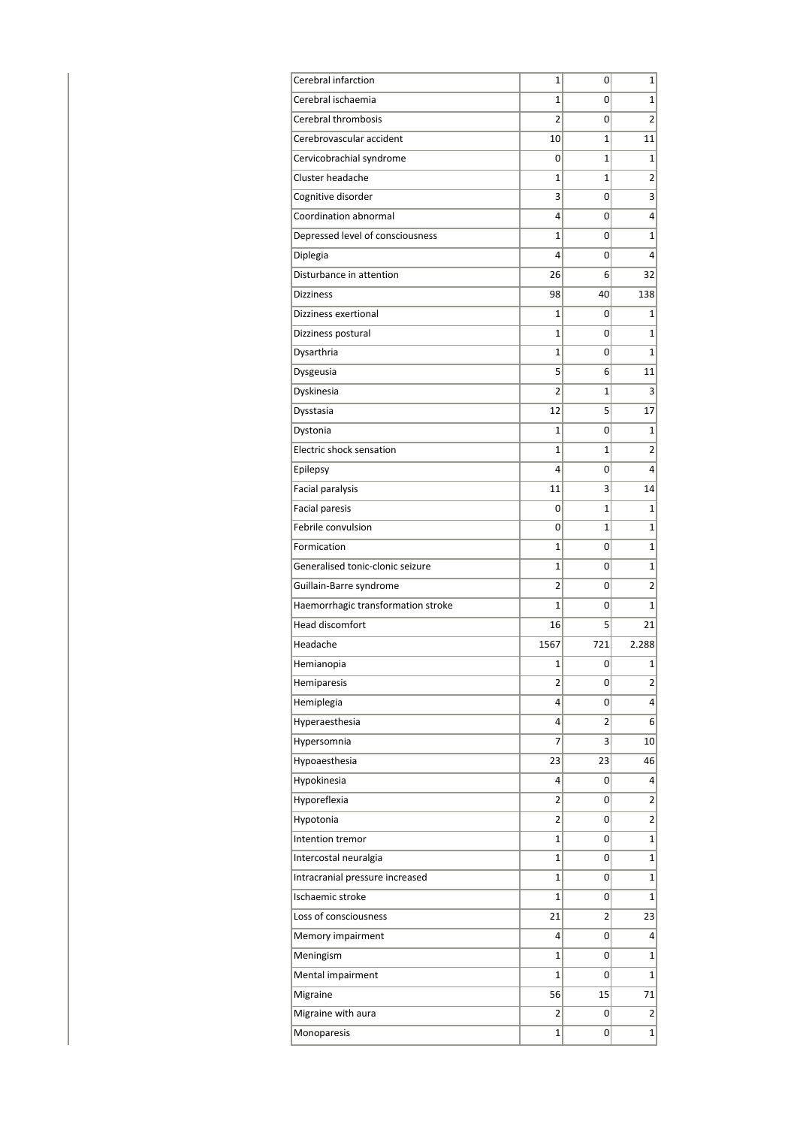| Cerebral infarction                | 1              | 0            | 1               |
|------------------------------------|----------------|--------------|-----------------|
| Cerebral ischaemia                 | 1              | 0            | $\mathbf{1}$    |
| Cerebral thrombosis                | $\overline{2}$ | 0            | $\overline{2}$  |
| Cerebrovascular accident           | 10             | $\mathbf{1}$ | 11              |
| Cervicobrachial syndrome           | 0              | $\mathbf{1}$ | $\mathbf{1}$    |
| Cluster headache                   | 1              | 1            | 2               |
| Cognitive disorder                 | 3              | 0            | 3               |
| Coordination abnormal              | 4              | 0            | 4               |
| Depressed level of consciousness   | 1              | 0            | 1               |
| Diplegia                           | 4              | 0            | $\overline{4}$  |
| Disturbance in attention           | 26             | 6            | 32              |
| <b>Dizziness</b>                   | 98             | 40           | 138             |
| Dizziness exertional               | 1              | 0            | 1               |
| Dizziness postural                 | $\mathbf{1}$   | 0            | 1               |
| Dysarthria                         | 1              | 0            | $\mathbf{1}$    |
| Dysgeusia                          | 5              | 6            | 11              |
| Dyskinesia                         | $\overline{2}$ | $\mathbf{1}$ | 3               |
| Dysstasia                          | 12             | 5            | 17              |
| Dystonia                           | 1              | 0            | $\mathbf{1}$    |
| Electric shock sensation           | 1              | $\mathbf{1}$ | 2               |
| Epilepsy                           | 4              | 0            | $\overline{4}$  |
| Facial paralysis                   | 11             | 3            | 14              |
| <b>Facial paresis</b>              | 0              | $\mathbf{1}$ | 1               |
| Febrile convulsion                 | 0              | $\mathbf{1}$ | 1               |
| Formication                        | 1              | 0            | 1               |
| Generalised tonic-clonic seizure   | $\mathbf{1}$   | 0            | 1               |
| Guillain-Barre syndrome            | 2              | 0            | 2               |
| Haemorrhagic transformation stroke | 1              | 0            | 1               |
| <b>Head discomfort</b>             | 16             | 5            | 21              |
| Headache                           | 1567           | 721          | 2.288           |
| Hemianopia                         | 1              | 0            | 1               |
| Hemiparesis                        | 2              | 0            | $\overline{2}$  |
| Hemiplegia                         | 4              | 0            | $\vert 4 \vert$ |
| Hyperaesthesia                     | 4              | 2            | $6 \mid$        |
| Hypersomnia                        | $\overline{7}$ | 3            | 10              |
| Hypoaesthesia                      | 23             | 23           | 46              |
| Hypokinesia                        | 4              | 0            | 4               |
| Hyporeflexia                       | 2              | 0            | $\overline{2}$  |
| Hypotonia                          | 2              | 0            | $\overline{2}$  |
| Intention tremor                   | 1              | 0            | $\mathbf{1}$    |
| Intercostal neuralgia              | $\mathbf 1$    | 0            | $\mathbf{1}$    |
| Intracranial pressure increased    | $\mathbf{1}$   | 0            | $\mathbf{1}$    |
| Ischaemic stroke                   | 1              | 0            | $\mathbf{1}$    |
| Loss of consciousness              | 21             | 2            | 23              |
| Memory impairment                  | 4              | 0            | $\vert$         |
| Meningism                          | 1              | 0            | $\mathbf{1}$    |
| Mental impairment                  | 1              | 0            | $\mathbf{1}$    |
| Migraine                           | 56             | 15           | 71              |
| Migraine with aura                 | $\overline{2}$ | 0            | $\overline{2}$  |
| Monoparesis                        | 1              | 0            | $\mathbf{1}$    |
|                                    |                |              |                 |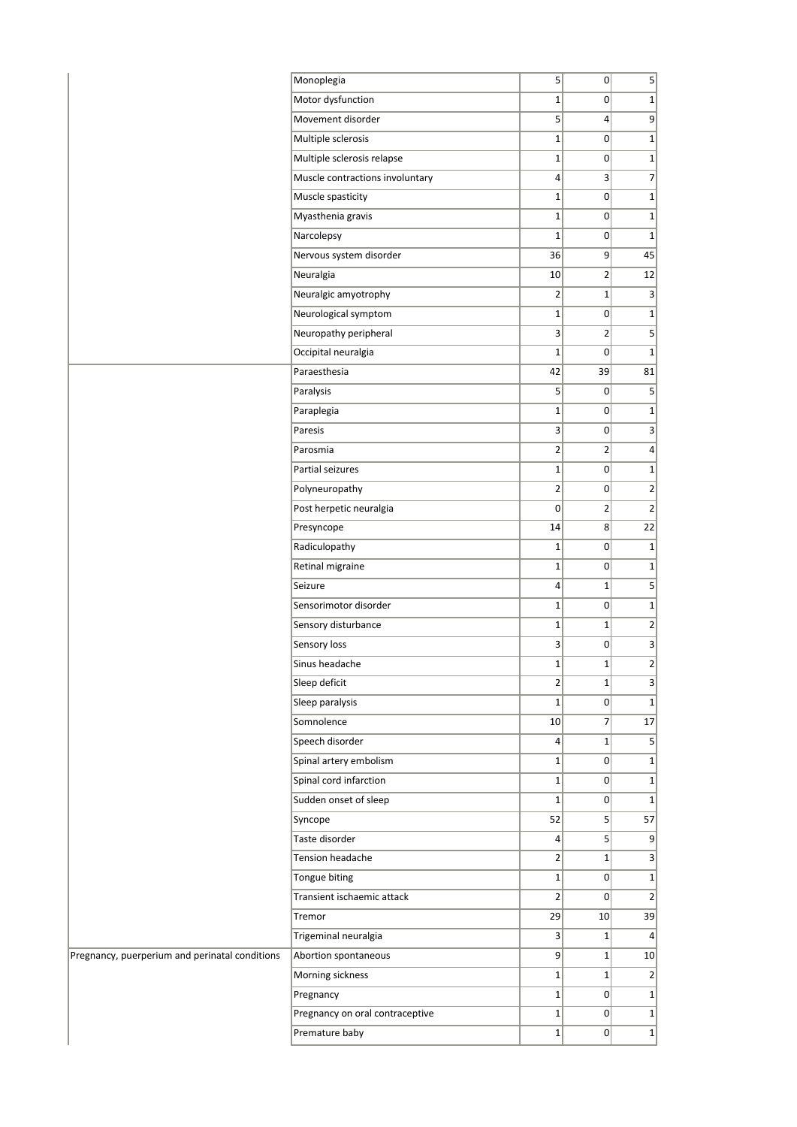| Monoplegia                                                             | 5 <sup>1</sup>          | 0               | $\vert$                      |
|------------------------------------------------------------------------|-------------------------|-----------------|------------------------------|
| Motor dysfunction                                                      | $1\vert$                | $\overline{0}$  | $1\vert$                     |
| Movement disorder                                                      | 5 <sup>1</sup>          | $\vert 4 \vert$ | 9                            |
| Multiple sclerosis                                                     | $1\vert$                | $\overline{0}$  | $1\vert$                     |
| Multiple sclerosis relapse                                             | $1\vert$                | 0               | $1\vert$                     |
| Muscle contractions involuntary                                        | $\vert$                 | $\vert$         | $\overline{7}$               |
| Muscle spasticity                                                      | $1\vert$                | $\overline{0}$  | $1\vert$                     |
| Myasthenia gravis                                                      | $1\vert$                | $\overline{0}$  | 1                            |
| Narcolepsy                                                             | $1\vert$                | $\overline{0}$  | 1                            |
| Nervous system disorder                                                | 36                      | 9               | 45                           |
| Neuralgia                                                              | 10 <sup>1</sup>         | $\overline{2}$  | 12                           |
| Neuralgic amyotrophy                                                   | $\overline{2}$          | $1\vert$        | 3                            |
| Neurological symptom                                                   | $\mathbf{1}$            | $\overline{0}$  | $1\vert$                     |
| Neuropathy peripheral                                                  | 3                       | $\overline{2}$  | $\mathbf{5}$                 |
| Occipital neuralgia                                                    | $1\vert$                | 0               | 1                            |
| Paraesthesia                                                           | 42                      | 39              | 81                           |
| Paralysis                                                              | 5 <sup>2</sup>          | $\overline{0}$  | $\vert$                      |
| Paraplegia                                                             | $1\vert$                | $\overline{0}$  | $1\vert$                     |
| Paresis                                                                | 3                       | 0               | $\vert$                      |
| Parosmia                                                               | $\overline{2}$          | $\overline{2}$  | $\vert$                      |
| Partial seizures                                                       | $1\vert$                | 0               | $1\vert$                     |
| Polyneuropathy                                                         | $\overline{2}$          | 0               | $\left  \frac{2}{2} \right $ |
| Post herpetic neuralgia                                                | $\Omega$                | $\overline{2}$  | 2                            |
| Presyncope                                                             | 14                      | $\overline{8}$  | 22                           |
| Radiculopathy                                                          | $\mathbf{1}$            | 0               | $1\vert$                     |
| Retinal migraine                                                       | $1\vert$                | $\overline{0}$  | $1\vert$                     |
| Seizure                                                                | $\vert$                 | $1\vert$        | $\overline{5}$               |
| Sensorimotor disorder                                                  | $1\vert$                | $\overline{0}$  | $1\vert$                     |
| Sensory disturbance                                                    | $1\vert$                | $\mathbf{1}$    | 2                            |
| Sensory loss                                                           | $\overline{\mathbf{3}}$ | 0               | $\vert$                      |
| Sinus headache                                                         | $1\vert$                | $1\vert$        | $\overline{2}$               |
| Sleep deficit                                                          | $\overline{2}$          | $1\vert$        | $\vert$                      |
| Sleep paralysis                                                        | $1\vert$                | $\overline{0}$  | $1\vert$                     |
| Somnolence                                                             | 10                      | $\overline{7}$  | 17                           |
| Speech disorder                                                        | $\vert$                 | $1\vert$        | 5                            |
| Spinal artery embolism                                                 | $1\vert$                | $\overline{0}$  | $1\vert$                     |
| Spinal cord infarction                                                 | $1\vert$                | $\overline{0}$  | $1\vert$                     |
| Sudden onset of sleep                                                  | $1\vert$                | $\overline{0}$  | $1\vert$                     |
| Syncope                                                                | 52                      | $\vert$         | 57                           |
| Taste disorder                                                         | $\vert$                 | $\overline{5}$  | 9                            |
| Tension headache                                                       | 2                       | $1\vert$        | $\vert$                      |
| Tongue biting                                                          | $1\vert$                | $\overline{0}$  | $1\vert$                     |
| Transient ischaemic attack                                             | 2 <sup>2</sup>          | 0               | 2                            |
| Tremor                                                                 | 29                      | 10              | 39                           |
| Trigeminal neuralgia                                                   |                         | $1\vert$        | $\left 4\right $             |
|                                                                        | 3                       |                 |                              |
| Pregnancy, puerperium and perinatal conditions<br>Abortion spontaneous | 9 <sup>1</sup>          | $1\vert$        | 10                           |
| Morning sickness                                                       | $1\vert$                | $1\vert$        | $\overline{2}$               |
| Pregnancy                                                              | $1\vert$                | 0               | $1\vert$                     |
| Pregnancy on oral contraceptive                                        | $1\vert$                | 0               | $1\vert$                     |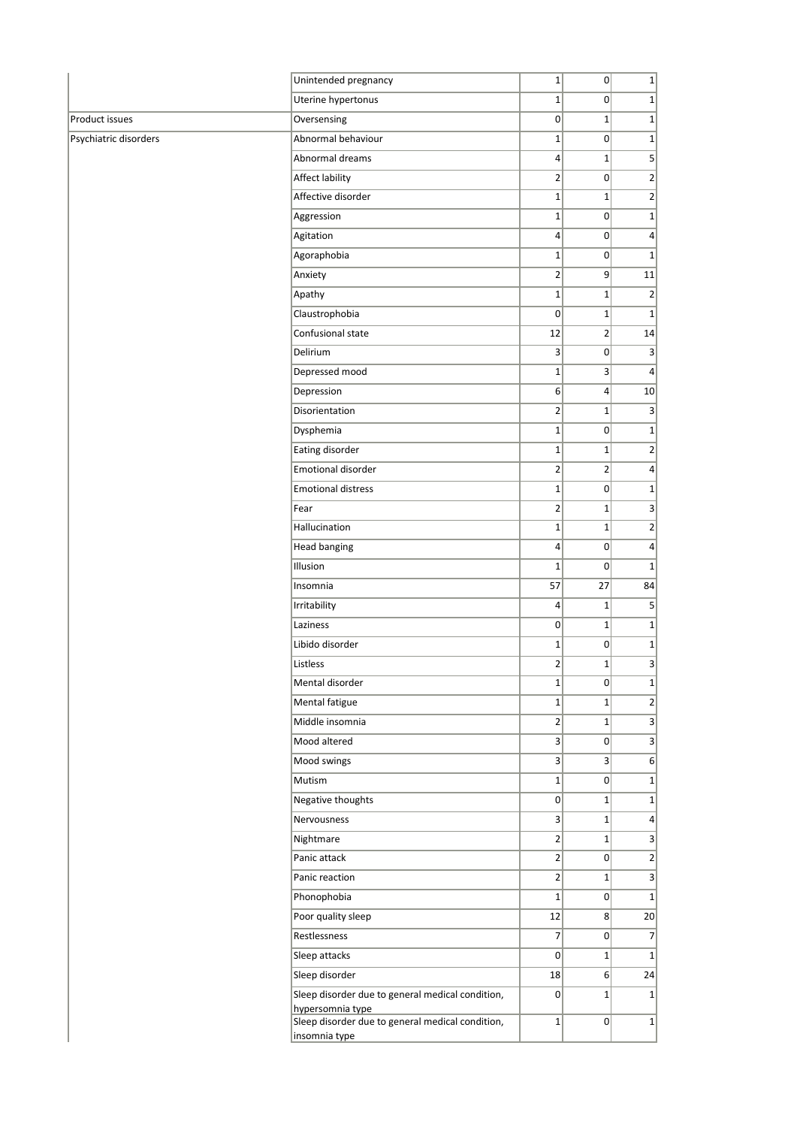|                       | Unintended pregnancy                                                 | $\mathbf{1}$    | 0               | $1\vert$        |
|-----------------------|----------------------------------------------------------------------|-----------------|-----------------|-----------------|
|                       | Uterine hypertonus                                                   | $1\vert$        | $\Omega$        | $1\vert$        |
| Product issues        | Oversensing                                                          | $\overline{0}$  | $\mathbf{1}$    | $\mathbf{1}$    |
| Psychiatric disorders | Abnormal behaviour                                                   | $1\vert$        | 0               | $1\vert$        |
|                       | Abnormal dreams                                                      | $\vert$         | $1\vert$        | 5 <sup>2</sup>  |
|                       | Affect lability                                                      | $\overline{2}$  | 0               | $\overline{2}$  |
|                       | Affective disorder                                                   | $1\overline{ }$ | $1\vert$        | $\overline{2}$  |
|                       | Aggression                                                           | $1\overline{ }$ | 0               | $1\vert$        |
|                       | Agitation                                                            | $\overline{4}$  | 0               | $\vert 4 \vert$ |
|                       | Agoraphobia                                                          | $\mathbf 1$     | 0               | $\mathbf{1}$    |
|                       | Anxiety                                                              | $\overline{2}$  | 9               | 11              |
|                       | Apathy                                                               | $1\vert$        | $\mathbf{1}$    | $\overline{2}$  |
|                       | Claustrophobia                                                       | $\mathbf 0$     | $1\vert$        | $\mathbf{1}$    |
|                       | Confusional state                                                    | 12              | $\overline{2}$  | 14              |
|                       | Delirium                                                             | $\overline{3}$  | 0               | $\vert 3 \vert$ |
|                       | Depressed mood                                                       | $\mathbf 1$     | $\overline{3}$  | $\vert 4 \vert$ |
|                       | Depression                                                           | 6               | $\vert 4 \vert$ | 10              |
|                       | Disorientation                                                       | $\overline{2}$  | $1\vert$        | $\vert 3 \vert$ |
|                       | Dysphemia                                                            | $1\overline{ }$ | 0               | $1\vert$        |
|                       | Eating disorder                                                      | $1\vert$        | $\mathbf{1}$    | $\overline{2}$  |
|                       | Emotional disorder                                                   | 2               | $\overline{2}$  | $\vert 4 \vert$ |
|                       | <b>Emotional distress</b>                                            | $1\overline{ }$ | $\overline{0}$  | $\mathbf{1}$    |
|                       | Fear                                                                 | $\overline{2}$  | $1\vert$        | $\vert$         |
|                       | Hallucination                                                        | $1\overline{ }$ | $1\vert$        | $\mathbf{2}$    |
|                       | <b>Head banging</b>                                                  | $\vert$         | 0               | $\vert 4 \vert$ |
|                       | Illusion                                                             | $1\vert$        | $\Omega$        | $1\vert$        |
|                       | Insomnia                                                             | 57              | 27              | 84              |
|                       | Irritability                                                         | $\vert$         | $1\vert$        | $\mathsf{S}$    |
|                       | Laziness                                                             | 0               | $\mathbf{1}$    | $\mathbf{1}$    |
|                       | Libido disorder                                                      | $1\overline{ }$ | 0               | $1\vert$        |
|                       | Listless                                                             | $\overline{2}$  | $1\vert$        | $\vert$         |
|                       |                                                                      |                 |                 |                 |
|                       | Mental disorder                                                      | $1\vert$        | 0               | $1\vert$        |
|                       | Mental fatigue                                                       | $1\vert$        | $1\vert$        | $\overline{2}$  |
|                       | Middle insomnia                                                      | $\overline{2}$  | $1\vert$        | $\vert$         |
|                       | Mood altered                                                         | 3 <sup>2</sup>  | 0               | $\vert$         |
|                       | Mood swings                                                          | 3               | 3 <sup>2</sup>  | 6               |
|                       | Mutism                                                               | $1\vert$        | 0               | $1\vert$        |
|                       | Negative thoughts                                                    | 0               | $1\vert$        | $1\vert$        |
|                       | Nervousness                                                          | 3 <sup>2</sup>  | $1\vert$        | $\vert 4 \vert$ |
|                       | Nightmare                                                            | 2               | $1\vert$        | $\vert$         |
|                       | Panic attack                                                         | 2               | 0               | $\overline{2}$  |
|                       | Panic reaction                                                       | 2               | $1\vert$        | 3               |
|                       | Phonophobia                                                          | $1\vert$        | 0               | $1\vert$        |
|                       | Poor quality sleep                                                   | 12              | 8 <sup>2</sup>  | 20              |
|                       | Restlessness                                                         | $\overline{7}$  | 0               | $\overline{7}$  |
|                       | Sleep attacks                                                        | $\overline{0}$  | $1\vert$        | $\mathbf{1}$    |
|                       | Sleep disorder                                                       | 18              | 6               | 24              |
|                       | Sleep disorder due to general medical condition,<br>hypersomnia type | $\overline{0}$  | $1\vert$        | $1\vert$        |
|                       | Sleep disorder due to general medical condition,<br>insomnia type    | $1\vert$        | 0               | $1\vert$        |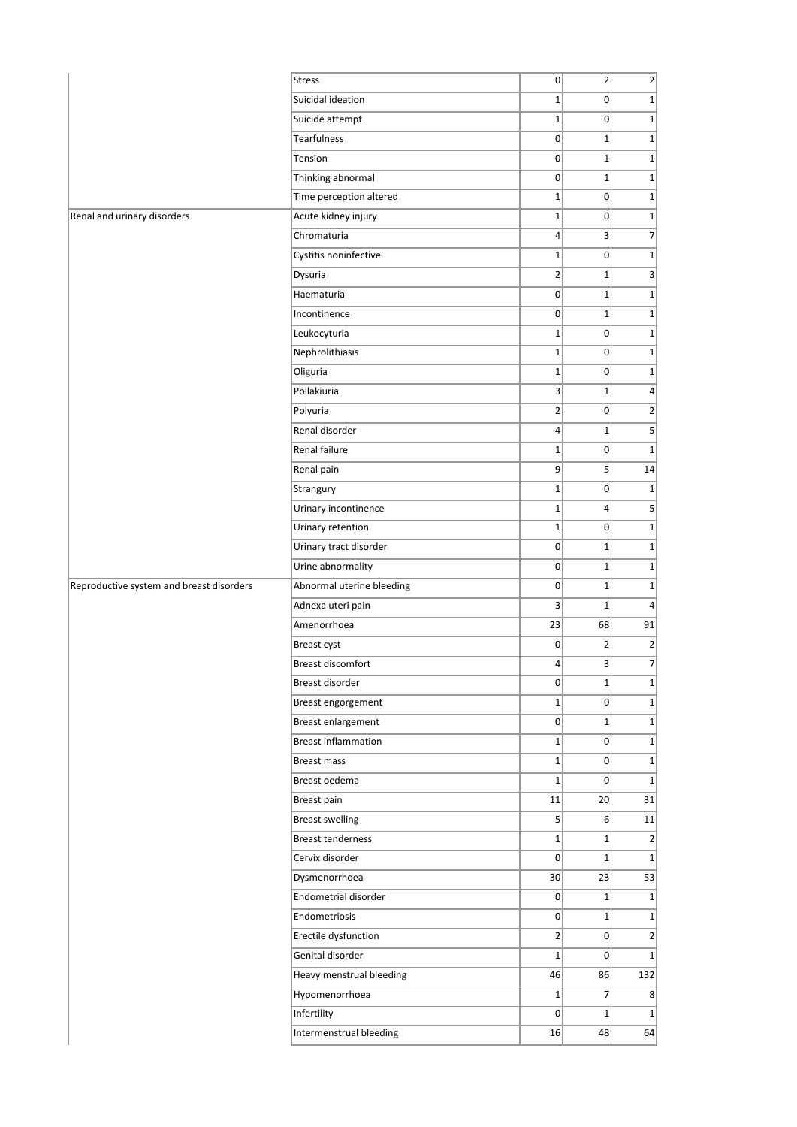|                                          | <b>Stress</b>              | 0                       | $\overline{2}$  | $\overline{2}$   |
|------------------------------------------|----------------------------|-------------------------|-----------------|------------------|
|                                          | Suicidal ideation          | $1\vert$                | $\Omega$        | $1\vert$         |
|                                          | Suicide attempt            | $1\vert$                | $\overline{0}$  | $1\vert$         |
|                                          | <b>Tearfulness</b>         | $\overline{0}$          | $\mathbf{1}$    | 1                |
|                                          | Tension                    | 0                       | $1\vert$        | $1\vert$         |
|                                          | Thinking abnormal          | $\overline{0}$          | $1\vert$        | $1\vert$         |
|                                          | Time perception altered    | $1\vert$                | $\overline{0}$  | $1\vert$         |
| Renal and urinary disorders              | Acute kidney injury        | $1\vert$                | $\Omega$        | $1\vert$         |
|                                          | Chromaturia                | 4 <sup>1</sup>          | $\vert$         | 7                |
|                                          | Cystitis noninfective      | $1\vert$                | $\Omega$        | 1                |
|                                          | Dysuria                    | $\overline{2}$          | $\mathbf{1}$    | 3                |
|                                          | Haematuria                 | 0                       | $1\vert$        | $1\vert$         |
|                                          | Incontinence               | $\overline{0}$          | $\mathbf{1}$    | 1                |
|                                          | Leukocyturia               | $1\vert$                | $\overline{0}$  | $1\vert$         |
|                                          | Nephrolithiasis            | $1\vert$                | $\Omega$        | $1\vert$         |
|                                          | Oliguria                   | $1\vert$                | $\Omega$        | 1                |
|                                          | Pollakiuria                | $\overline{\mathbf{3}}$ | $\mathbf{1}$    | $\vert 4 \vert$  |
|                                          | Polyuria                   | $\overline{2}$          | $\overline{0}$  | $\overline{2}$   |
|                                          | Renal disorder             | $\vert 4 \vert$         | $\mathbf{1}$    | $\vert$          |
|                                          | Renal failure              | $1\vert$                | $\overline{0}$  | $1\vert$         |
|                                          | Renal pain                 | 9 <sup>1</sup>          | 5               | 14               |
|                                          | Strangury                  | $1\vert$                | $\overline{0}$  | $1\vert$         |
|                                          | Urinary incontinence       | $1\vert$                | $\overline{4}$  | 5 <sup>2</sup>   |
|                                          | Urinary retention          | $1\vert$                | $\overline{0}$  | $1\vert$         |
|                                          | Urinary tract disorder     | 0                       | $1\vert$        | $1\vert$         |
|                                          | Urine abnormality          | 0                       | $\mathbf{1}$    | $1\vert$         |
| Reproductive system and breast disorders | Abnormal uterine bleeding  | 0                       | $\mathbf{1}$    | $1\vert$         |
|                                          | Adnexa uteri pain          | 3                       | $1\vert$        | $\left 4\right $ |
|                                          | Amenorrhoea                | 23                      | 68              | 91               |
|                                          | Breast cyst                | 0                       | $\overline{2}$  | 2                |
|                                          | Breast discomfort          | $\left 4\right $        | $\mathbf{3}$    | $\overline{7}$   |
|                                          | Breast disorder            | 0                       | $1\vert$        | $1\vert$         |
|                                          | Breast engorgement         | 1 <sup>1</sup>          | $\Omega$        | $1\vert$         |
|                                          | Breast enlargement         | 0                       | $\mathbf{1}$    | 1                |
|                                          | <b>Breast inflammation</b> | $1\vert$                | 0               | 1                |
|                                          | Breast mass                | 1                       | 0               | 1                |
|                                          | Breast oedema              | $1\vert$                | $\overline{0}$  | $1\vert$         |
|                                          | Breast pain                | 11                      | 20 <sup>2</sup> | 31               |
|                                          | <b>Breast swelling</b>     | $\mathsf{S}$            | 6               | 11               |
|                                          | <b>Breast tenderness</b>   | $1\vert$                | $1\vert$        | $\overline{2}$   |
|                                          | Cervix disorder            | 0                       | $1\vert$        | $1\vert$         |
|                                          | Dysmenorrhoea              | 30                      | 23              | 53               |
|                                          | Endometrial disorder       | 0                       | $1\vert$        | $1\vert$         |
|                                          | Endometriosis              | 0                       | $1\vert$        | 1                |
|                                          | Erectile dysfunction       | $\overline{2}$          | 0               | $\overline{2}$   |
|                                          | Genital disorder           | $1\vert$                | $\overline{0}$  | $1\vert$         |
|                                          | Heavy menstrual bleeding   | 46                      | 86              | 132              |
|                                          | Hypomenorrhoea             | $1\vert$                | $\overline{7}$  | 8 <sup>2</sup>   |
|                                          | Infertility                | 0                       | $\mathbf{1}$    | 1                |
|                                          | Intermenstrual bleeding    | 16                      | 48              | 64               |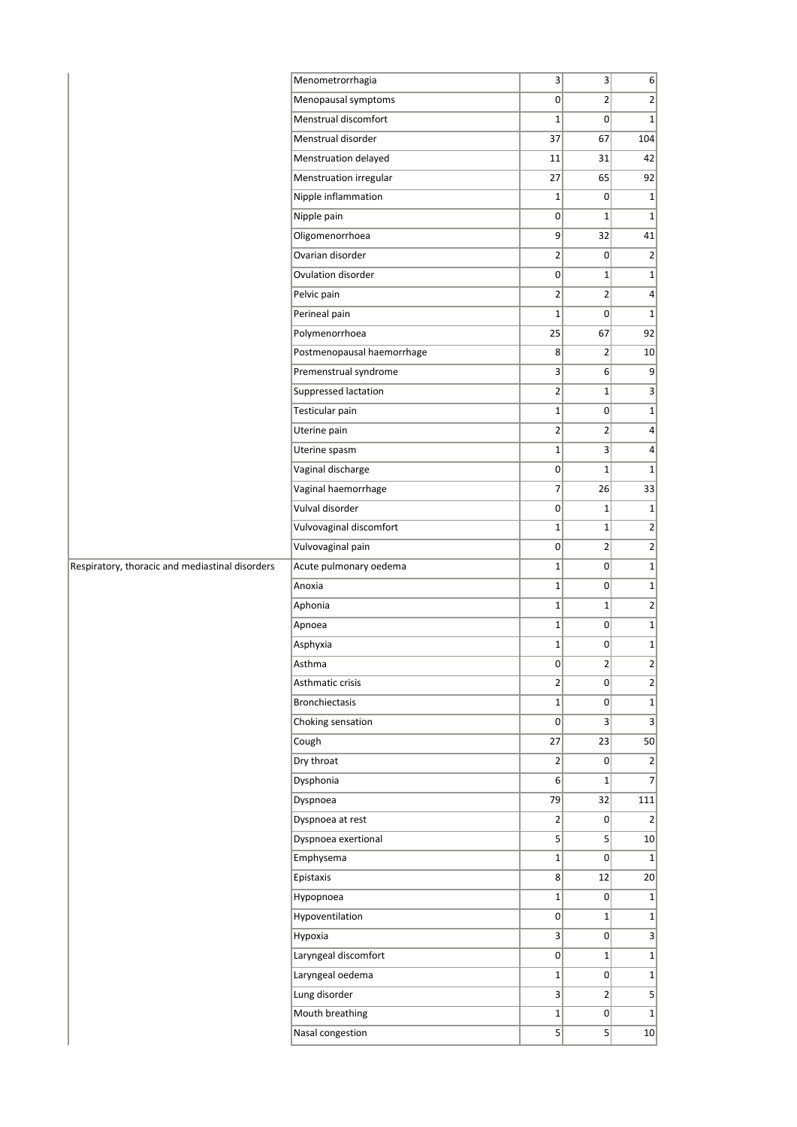|                                                 | Menometrorrhagia           | $\mathbf{3}$    | $\mathsf{3}$   | 6                       |
|-------------------------------------------------|----------------------------|-----------------|----------------|-------------------------|
|                                                 | Menopausal symptoms        | $\overline{0}$  | $\overline{2}$ | $\overline{2}$          |
|                                                 | Menstrual discomfort       | $\mathbf 1$     | $\overline{0}$ | $1\vert$                |
|                                                 | Menstrual disorder         | 37              | 67             | 104                     |
|                                                 | Menstruation delayed       | 11              | 31             | 42                      |
|                                                 | Menstruation irregular     | 27              | 65             | 92                      |
|                                                 | Nipple inflammation        | $1\overline{ }$ | $\overline{0}$ | $1\vert$                |
|                                                 | Nipple pain                | $\Omega$        | $\mathbf{1}$   | $1\vert$                |
|                                                 | Oligomenorrhoea            | $\vert 9 \vert$ | 32             | 41                      |
|                                                 | Ovarian disorder           | $\overline{2}$  | 0              | 2                       |
|                                                 | Ovulation disorder         | 0               | $\mathbf{1}$   | $1\vert$                |
|                                                 | Pelvic pain                | $\overline{2}$  | $\overline{2}$ | $\left  4 \right $      |
|                                                 | Perineal pain              | $\mathbf 1$     | $\overline{0}$ | 1                       |
|                                                 | Polymenorrhoea             | 25              | 67             | 92                      |
|                                                 | Postmenopausal haemorrhage | 8               | 2              | 10                      |
|                                                 | Premenstrual syndrome      | 3               | $6 \mid$       | 9                       |
|                                                 | Suppressed lactation       | $\overline{2}$  | $\mathbf{1}$   | 3                       |
|                                                 | Testicular pain            | $\mathbf{1}$    | $\overline{0}$ | 1                       |
|                                                 | Uterine pain               | $\overline{2}$  | $\overline{2}$ | $\left  4 \right $      |
|                                                 | Uterine spasm              | $\mathbf{1}$    | $\overline{3}$ | $\left  4 \right $      |
|                                                 | Vaginal discharge          | 0               | $\mathbf{1}$   | $1\vert$                |
|                                                 | Vaginal haemorrhage        | $\overline{7}$  | 26             | 33                      |
|                                                 | Vulval disorder            | $\overline{0}$  | 1              | $1\vert$                |
|                                                 | Vulvovaginal discomfort    | $\mathbf{1}$    | $1\vert$       | 2                       |
|                                                 | Vulvovaginal pain          | 0               | $\mathbf{2}$   | $\overline{2}$          |
| Respiratory, thoracic and mediastinal disorders | Acute pulmonary oedema     | $\mathbf{1}$    | $\overline{0}$ | 1                       |
|                                                 | Anoxia                     | $\mathbf{1}$    | 0              | $1\vert$                |
|                                                 | Aphonia                    | $\mathbf 1$     | $1\vert$       | 2                       |
|                                                 | Apnoea                     | $\mathbf 1$     | $\overline{0}$ | $1\vert$                |
|                                                 | Asphyxia                   | $1\overline{ }$ | $\overline{0}$ | 1                       |
|                                                 | Asthma                     | 0               | $\overline{2}$ | $\overline{2}$          |
|                                                 | Asthmatic crisis           | $\overline{2}$  | 0              | $2\vert$                |
|                                                 | <b>Bronchiectasis</b>      | $1\overline{ }$ | $\overline{0}$ | $1\vert$                |
|                                                 | Choking sensation          | 0               | $\vert$        | $\overline{\mathbf{3}}$ |
|                                                 | Cough                      | 27              | 23             | 50                      |
|                                                 | Dry throat                 | $\overline{2}$  | 0              | $\overline{2}$          |
|                                                 | Dysphonia                  | 6 <sup>1</sup>  | $1\vert$       | $\overline{7}$          |
|                                                 | Dyspnoea                   | 79              | 32             | 111                     |
|                                                 | Dyspnoea at rest           | $\overline{2}$  | $\overline{0}$ | $\left  \right $        |
|                                                 | Dyspnoea exertional        | 5 <sup>1</sup>  | $\mathsf{S}$   | 10                      |
|                                                 | Emphysema                  | $1\vert$        | $\overline{0}$ | 1                       |
|                                                 | Epistaxis                  | 8 <sup>1</sup>  | 12             | 20                      |
|                                                 | Hypopnoea                  | $1\vert$        | 0              | 1                       |
|                                                 | Hypoventilation            | 0               | $1\vert$       | 1                       |
|                                                 | Hypoxia                    | 3               | 0              | $\overline{\mathbf{3}}$ |
|                                                 | Laryngeal discomfort       | 0               | $1\vert$       | $1\vert$                |
|                                                 | Laryngeal oedema           | $\mathbf{1}$    | 0              | 1                       |
|                                                 | Lung disorder              | 3               | $\overline{2}$ | 5 <sup>2</sup>          |
|                                                 | Mouth breathing            | $1\vert$        | $\overline{0}$ | 1                       |
|                                                 | Nasal congestion           | 5 <sup>1</sup>  | $\mathsf{S}$   | 10                      |
|                                                 |                            |                 |                |                         |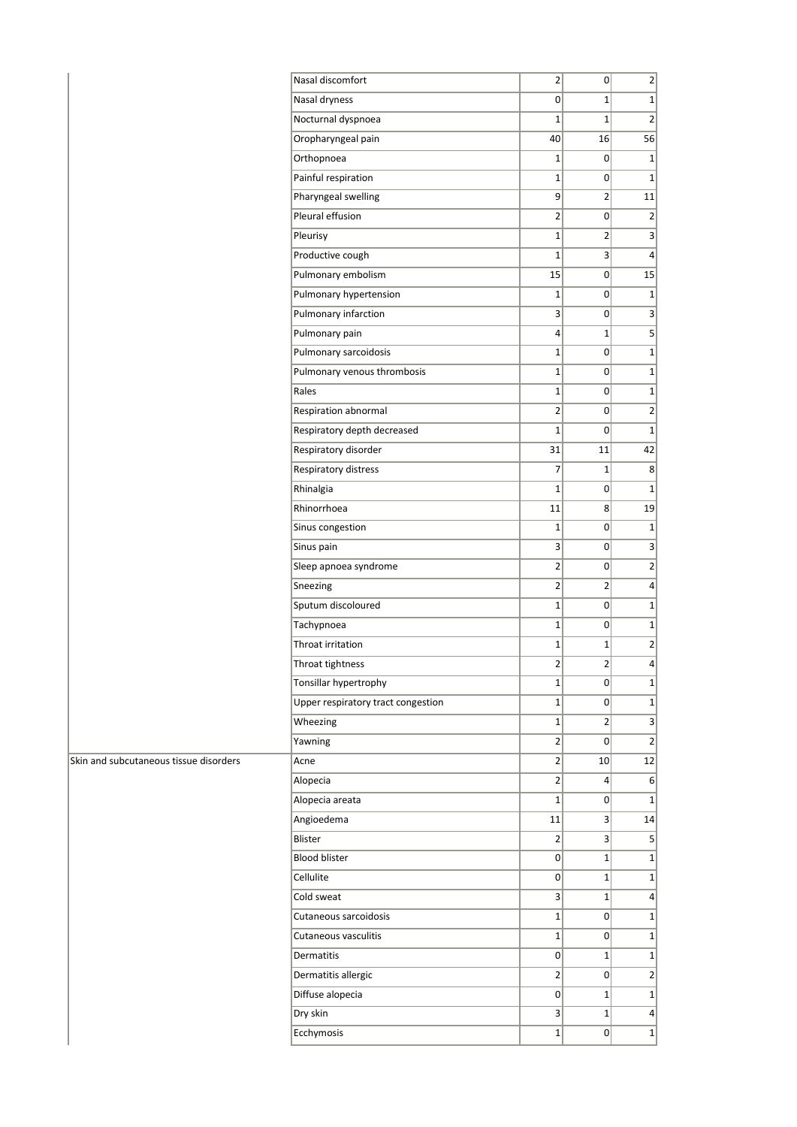|                                        | Nasal discomfort                   | $\overline{2}$          | 0                       | $\overline{2}$               |
|----------------------------------------|------------------------------------|-------------------------|-------------------------|------------------------------|
|                                        | Nasal dryness                      | 0                       | $1\vert$                | 1                            |
|                                        | Nocturnal dyspnoea                 | $\mathbf{1}$            | $1\vert$                | $\overline{2}$               |
|                                        | Oropharyngeal pain                 | 40                      | 16                      | 56                           |
|                                        | Orthopnoea                         | $1\vert$                | $\overline{0}$          | 1                            |
|                                        | Painful respiration                | $1\vert$                | $\overline{0}$          | 1                            |
|                                        | Pharyngeal swelling                | $\mathsf{g}$            | $\overline{2}$          | 11                           |
|                                        | Pleural effusion                   | $\overline{2}$          | 0                       | $\overline{2}$               |
|                                        | Pleurisy                           | $\mathbf 1$             | 2                       | $\left  \right $             |
|                                        | Productive cough                   | $\mathbf{1}$            | $\overline{\mathbf{3}}$ | $\vert$                      |
|                                        | Pulmonary embolism                 | 15                      | 0                       | 15                           |
|                                        | Pulmonary hypertension             | $\mathbf 1$             | $\overline{0}$          | 1                            |
|                                        | Pulmonary infarction               | $\overline{\mathbf{3}}$ | 0                       | $\vert$                      |
|                                        | Pulmonary pain                     | $\overline{4}$          | $1\vert$                | $\vert$                      |
|                                        | Pulmonary sarcoidosis              | $\mathbf 1$             | 0                       | $1\vert$                     |
|                                        | Pulmonary venous thrombosis        | $1\vert$                | 0                       | $1\vert$                     |
|                                        | Rales                              | $\mathbf 1$             | 0                       | $1\vert$                     |
|                                        | Respiration abnormal               | $\mathbf{2}$            | 0                       | $\left  \frac{2}{2} \right $ |
|                                        | Respiratory depth decreased        | $1\vert$                | $\overline{0}$          | 1                            |
|                                        | Respiratory disorder               | 31                      | 11                      | 42                           |
|                                        | Respiratory distress               | 7                       | $1\vert$                | 8 <sup>°</sup>               |
|                                        | Rhinalgia                          | $\mathbf{1}$            | 0                       | $1\vert$                     |
|                                        | Rhinorrhoea                        | 11                      | $\vert$                 | 19                           |
|                                        | Sinus congestion                   | $\mathbf 1$             | 0                       | 1                            |
|                                        | Sinus pain                         | $\mathsf{3}$            | $\overline{0}$          | $\vert$ 3                    |
|                                        | Sleep apnoea syndrome              | $\overline{2}$          | 0                       | $\overline{2}$               |
|                                        | Sneezing                           | $\overline{2}$          | 2                       | $\vert$                      |
|                                        | Sputum discoloured                 | $1\vert$                | 0                       | $1\vert$                     |
|                                        | Tachypnoea                         | $1\vert$                | 0                       | 1                            |
|                                        | Throat irritation                  | $1\vert$                | $1\vert$                | $\left  \frac{2}{2} \right $ |
|                                        | Throat tightness                   | $\overline{2}$          | $\overline{2}$          | $\vert$                      |
|                                        | Tonsillar hypertrophy              | $1\vert$                | 0                       | $1\vert$                     |
|                                        | Upper respiratory tract congestion | $1\vert$                | $\overline{0}$          | 1                            |
|                                        | Wheezing                           | $\mathbf 1$             | 2                       | $\vert$                      |
|                                        | Yawning                            | $\overline{2}$          | 0                       | $\overline{2}$               |
| Skin and subcutaneous tissue disorders | Acne                               | $\overline{2}$          | 10                      | 12                           |
|                                        | Alopecia                           | $\overline{2}$          | $\frac{4}{ }$           | 6                            |
|                                        | Alopecia areata                    | $1\vert$                | $\overline{0}$          | $1\vert$                     |
|                                        | Angioedema                         | 11                      | $\overline{\mathbf{3}}$ | 14                           |
|                                        | Blister                            | $\overline{2}$          | 3 <sup>1</sup>          | $\vert$                      |
|                                        | <b>Blood blister</b>               | 0                       | $1\vert$                | $1\vert$                     |
|                                        | Cellulite                          | 0                       | $1\vert$                | $1\vert$                     |
|                                        | Cold sweat                         | 3                       | $1\vert$                | $\vert 4 \vert$              |
|                                        | Cutaneous sarcoidosis              | $1\vert$                | $\overline{0}$          | $1\vert$                     |
|                                        | Cutaneous vasculitis               | $1\vert$                | 0                       | 1                            |
|                                        | Dermatitis                         | $\overline{0}$          | $1\vert$                | $1\vert$                     |
|                                        | Dermatitis allergic                | $\overline{2}$          | 0                       | $\left  \right $             |
|                                        | Diffuse alopecia                   | 0                       | 1 <sup>1</sup>          | $1\vert$                     |
|                                        | Dry skin                           | $\overline{\mathbf{3}}$ | $1\vert$                | $\vert$                      |
|                                        | Ecchymosis                         | $1\vert$                | $\overline{0}$          | 1                            |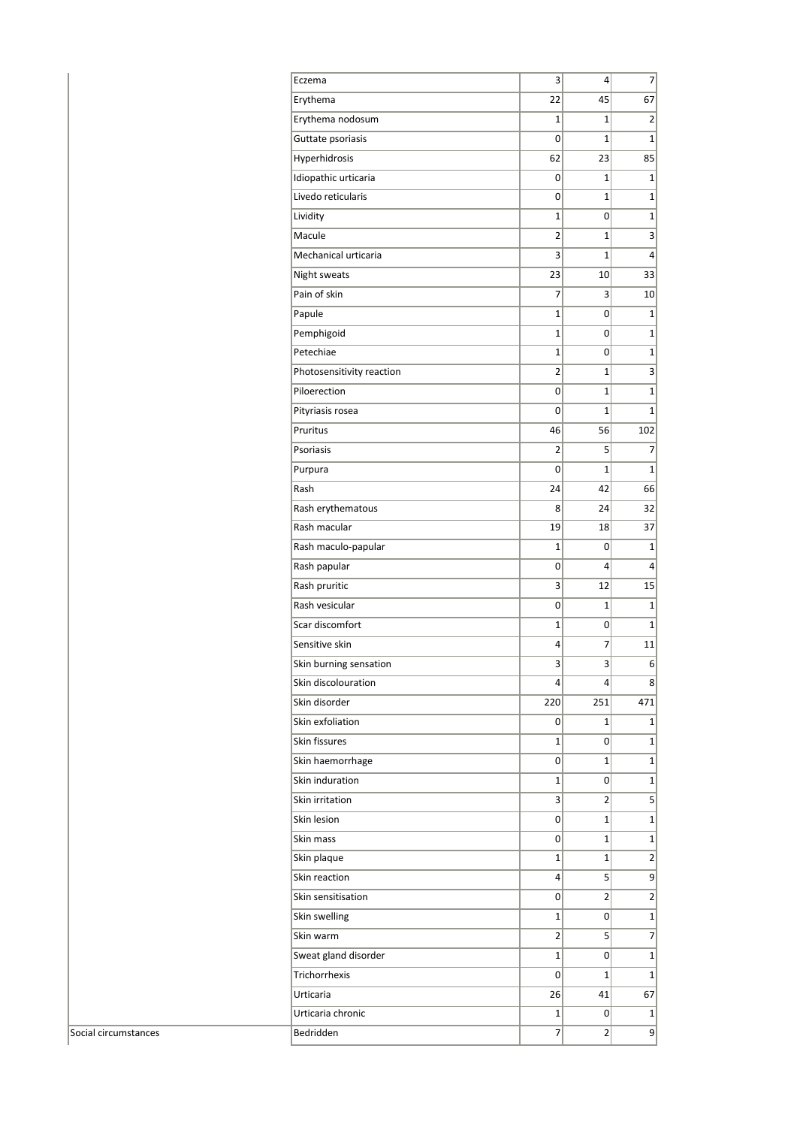| Eczema                     | 3              | 4            | 7                       |
|----------------------------|----------------|--------------|-------------------------|
| Erythema                   | 22             | 45           | 67                      |
| Erythema nodosum           | 1              | $\mathbf{1}$ | 2                       |
| Guttate psoriasis          | 0              | $\mathbf{1}$ | $\mathbf{1}$            |
| Hyperhidrosis              | 62             | 23           | 85                      |
| Idiopathic urticaria       | 0              | 1            | 1                       |
| Livedo reticularis         | 0              | $\mathbf{1}$ | $\mathbf{1}$            |
| Lividity                   | $\mathbf{1}$   | 0            | $\mathbf 1$             |
| Macule                     | 2              | $\mathbf{1}$ | 3                       |
| Mechanical urticaria       | 3              | 1            | 4                       |
| Night sweats               | 23             | 10           | 33                      |
| Pain of skin               | 7              | 3            | 10                      |
| Papule                     | 1              | 0            | $\mathbf 1$             |
| Pemphigoid                 | $\mathbf{1}$   | 0            | $\mathbf 1$             |
| Petechiae                  | 1              | 0            | $\mathbf{1}$            |
| Photosensitivity reaction  | 2              | 1            | 3                       |
| Piloerection               | 0              | 1            | $\mathbf 1$             |
| Pityriasis rosea           | 0              | $\mathbf{1}$ | $\mathbf{1}$            |
| Pruritus                   | 46             | 56           | 102                     |
| Psoriasis                  | 2              | 5            | 7                       |
| Purpura                    | 0              | $\mathbf{1}$ | $\mathbf{1}$            |
| Rash                       | 24             | 42           | 66                      |
| Rash erythematous          | 8              | 24           | 32                      |
| Rash macular               | 19             | 18           | 37                      |
| Rash maculo-papular        | 1              | 0            | $\mathbf{1}$            |
| Rash papular               | 0              | 4            | 4                       |
| Rash pruritic              | 3              | 12           | 15                      |
| Rash vesicular             | 0              | $\mathbf{1}$ | 1                       |
| Scar discomfort            | 1              | 0            | $\mathbf 1$             |
| Sensitive skin             | 4              | 7            | 11                      |
| Skin burning sensation     | 3              | 3            | 6                       |
| Skin discolouration        | 4              | 4            | 8                       |
| Skin disorder              | 220            | 251          | 471                     |
| Skin exfoliation           | 0              | 1            | $\mathbf{1}$            |
| Skin fissures              | 1              | 0            | 1                       |
| Skin haemorrhage           | 0              | $\mathbf{1}$ | $\mathbf 1$             |
| Skin induration            | 1              | 0            | $\mathbf 1$             |
| Skin irritation            | 3              | 2            | 5                       |
| Skin lesion                | 0              | $\mathbf{1}$ | $\mathbf{1}$            |
| Skin mass                  | 0              | 1            | $\mathbf 1$             |
| Skin plaque                | 1              | $\mathbf{1}$ | 2                       |
| Skin reaction              | 4              | 5            | 9                       |
| Skin sensitisation         | 0              | 2            | $\overline{\mathbf{c}}$ |
|                            | 1              | 0            | $\mathbf{1}$            |
| Skin swelling<br>Skin warm | $\overline{2}$ | 5            | $\overline{7}$          |
|                            |                |              |                         |
| Sweat gland disorder       | 1              | 0            | $\mathbf 1$             |
| Trichorrhexis              | 0              | 1            | $\mathbf{1}$            |
| Urticaria                  | 26             | 41           | 67                      |
| Urticaria chronic          | 1              | 0            | 1                       |
| Bedridden                  | $\overline{7}$ | 2            | 9                       |

Social circumstances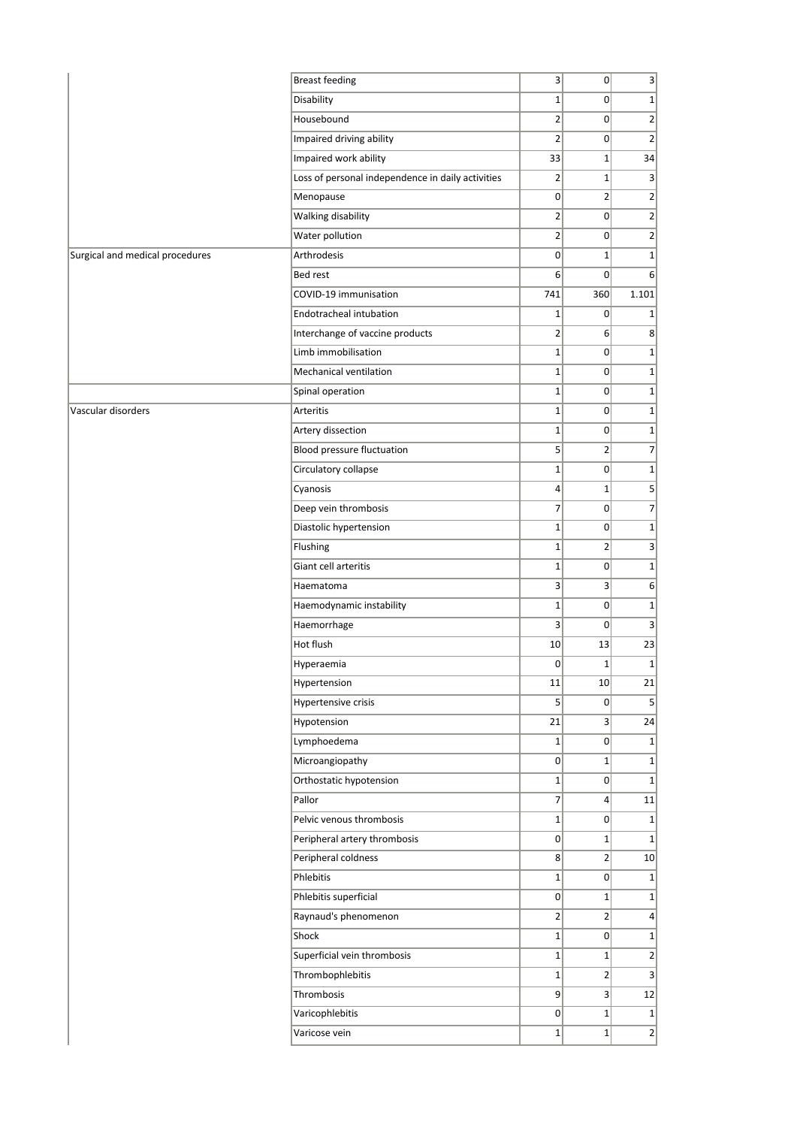|                                 | <b>Breast feeding</b>                             | $\vert$         | 0                | $\vert 3 \vert$  |
|---------------------------------|---------------------------------------------------|-----------------|------------------|------------------|
|                                 | Disability                                        | $1\vert$        | $\overline{0}$   | $1\vert$         |
|                                 | Housebound                                        | $\overline{2}$  | $\overline{0}$   | $\overline{2}$   |
|                                 | Impaired driving ability                          | $\overline{2}$  | $\overline{0}$   | $\vert$ 2        |
|                                 | Impaired work ability                             | 33              | $1\vert$         | 34               |
|                                 | Loss of personal independence in daily activities | $\overline{2}$  | $1\vert$         | 3                |
|                                 | Menopause                                         | $\overline{0}$  | $2\vert$         | $\overline{2}$   |
|                                 | Walking disability                                | 2               | $\overline{0}$   | $\left  \right $ |
|                                 | Water pollution                                   | $\overline{2}$  | 0                | $\overline{2}$   |
| Surgical and medical procedures | Arthrodesis                                       | 0               | $1\vert$         | $\mathbf{1}$     |
|                                 | Bed rest                                          | 6               | $\overline{0}$   | 6                |
|                                 | COVID-19 immunisation                             | 741             | 360              | 1.101            |
|                                 | Endotracheal intubation                           | $1\vert$        | $\overline{0}$   | $1\vert$         |
|                                 | Interchange of vaccine products                   | $\overline{2}$  | 6 <sup>1</sup>   | 8 <sup>2</sup>   |
|                                 | Limb immobilisation                               | $1\vert$        | 0                | $\mathbf{1}$     |
|                                 | Mechanical ventilation                            | $1\overline{ }$ | 0                | 1                |
|                                 | Spinal operation                                  | $1\vert$        | 0                | $\mathbf{1}$     |
| Vascular disorders              | <b>Arteritis</b>                                  | $1\vert$        | 0                | 1                |
|                                 | Artery dissection                                 | $1\vert$        | $\overline{0}$   | $1\vert$         |
|                                 | <b>Blood pressure fluctuation</b>                 | 5 <sup>1</sup>  | 2                | $\overline{7}$   |
|                                 | Circulatory collapse                              | $1\vert$        | 0                | $\mathbf{1}$     |
|                                 | Cyanosis                                          | $\vert 4 \vert$ | $1\vert$         |                  |
|                                 | Deep vein thrombosis                              | 7 <sup>1</sup>  | $\overline{0}$   | $\overline{7}$   |
|                                 | Diastolic hypertension                            | $1\vert$        | 0                | $\mathbf{1}$     |
|                                 | Flushing                                          | $1\vert$        | $\overline{2}$   | $\vert 3 \vert$  |
|                                 | Giant cell arteritis                              | $1\vert$        | $\overline{0}$   | $1\vert$         |
|                                 | Haematoma                                         | $\vert$         | 3 <sup>1</sup>   | 6                |
|                                 | Haemodynamic instability                          | $1\vert$        | $\overline{0}$   | $1\vert$         |
|                                 | Haemorrhage                                       | 3 <sup>1</sup>  | $\overline{0}$   | 3                |
|                                 | Hot flush                                         | 10 <sup>1</sup> | 13               | 23               |
|                                 | Hyperaemia                                        | $\overline{0}$  | $1\vert$         | $\mathbf{1}$     |
|                                 | Hypertension                                      | 11              | 10               | 21               |
|                                 | Hypertensive crisis                               | 5               | 0                | 5                |
|                                 | Hypotension                                       | 21              | $\overline{3}$   | 24               |
|                                 | Lymphoedema                                       | $1\vert$        | 0                | 1                |
|                                 | Microangiopathy                                   | 0               | $1\vert$         | 1                |
|                                 | Orthostatic hypotension                           | $1\vert$        | 0                | 1                |
|                                 | Pallor                                            | $\overline{7}$  | $\left 4\right $ | $11\,$           |
|                                 | Pelvic venous thrombosis                          | $1\vert$        | 0                | $\vert$          |
|                                 | Peripheral artery thrombosis                      | 0               | $1\vert$         | 1                |
|                                 | Peripheral coldness                               | 8               | 2                | 10               |
|                                 | Phlebitis                                         | $1\vert$        | 0                | 1                |
|                                 | Phlebitis superficial                             | $\overline{0}$  | $1\vert$         | $1\vert$         |
|                                 | Raynaud's phenomenon                              | $\overline{2}$  | $\overline{2}$   | $\vert$          |
|                                 | Shock                                             | $1\vert$        | 0                | $1\vert$         |
|                                 | Superficial vein thrombosis                       | $1\vert$        | $1\vert$         | $\left  \right $ |
|                                 | Thrombophlebitis                                  | $1\vert$        | 2                | 3                |
|                                 | Thrombosis                                        | 9               | 3                | 12               |
|                                 | Varicophlebitis                                   | $\overline{0}$  | $1\vert$         | 1                |
|                                 | Varicose vein                                     | $1\vert$        | $1\vert$         | $\overline{2}$   |
|                                 |                                                   |                 |                  |                  |